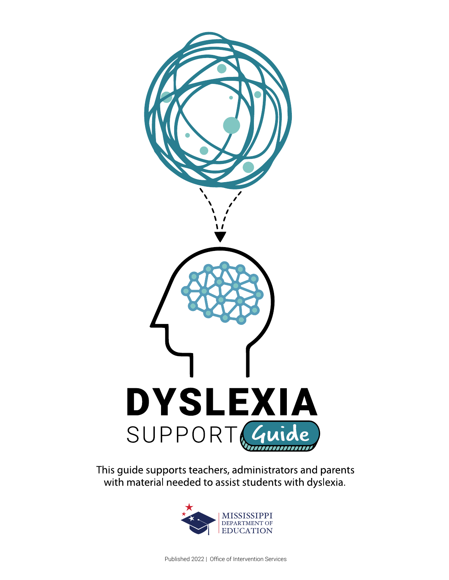

This guide supports teachers, administrators and parents with material needed to assist students with dyslexia.

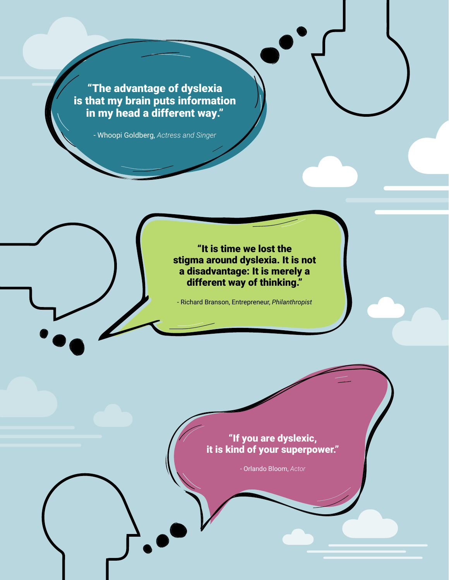"The advantage of dyslexia is that my brain puts information in my head a different way."

- Whoopi Goldberg, *Actress and Singer*

"It is time we lost the stigma around dyslexia. It is not a disadvantage: It is merely a different way of thinking."

- Richard Branson, Entrepreneur, *Philanthropist*

# "If you are dyslexic, it is kind of your superpower."

- Orlando Bloom, *Actor*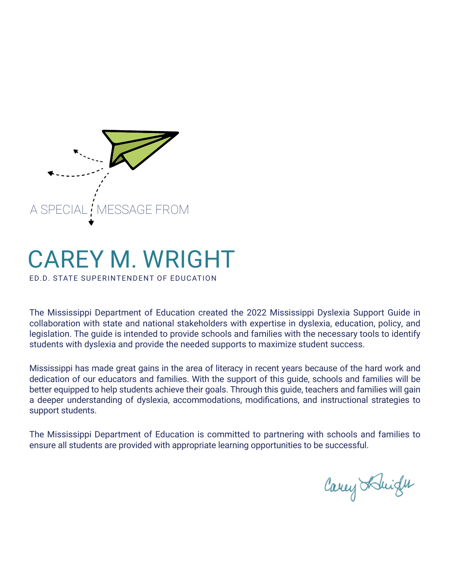

# CAREY M. WRIGHT

ED.D. STATE SUPERINTENDENT OF EDUCATION

The Mississippi Department of Education created the 2022 Mississippi Dyslexia Support Guide in collaboration with state and national stakeholders with expertise in dyslexia, education, policy, and legislation. The guide is intended to provide schools and families with the necessary tools to identify students with dyslexia and provide the needed supports to maximize student success.

Mississippi has made great gains in the area of literacy in recent years because of the hard work and dedication of our educators and families. With the support of this guide, schools and families will be better equipped to help students achieve their goals. Through this guide, teachers and families will gain a deeper understanding of dyslexia, accommodations, modifications, and instructional strategies to support students.

The Mississippi Department of Education is committed to partnering with schools and families to ensure all students are provided with appropriate learning opportunities to be successful.

Carey Abright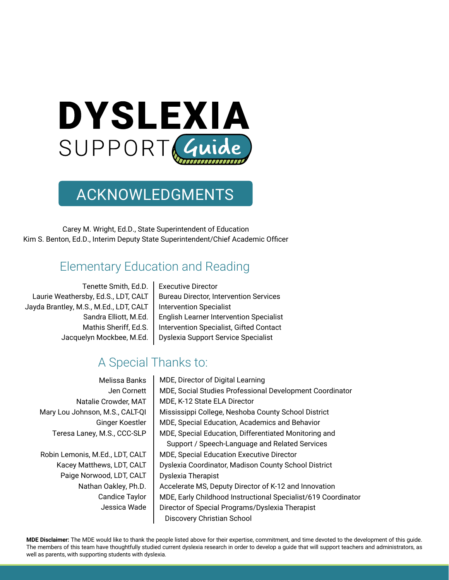

# ACKNOWLEDGMENTS

Carey M. Wright, Ed.D., State Superintendent of Education Kim S. Benton, Ed.D., Interim Deputy State Superintendent/Chief Academic Officer

# Elementary Education and Reading

Tenette Smith, Ed.D. Laurie Weathersby, Ed.S., LDT, CALT Jayda Brantley, M.S., M.Ed., LDT, CALT Sandra Elliott, M.Ed. Mathis Sheriff, Ed.S. Jacquelyn Mockbee, M.Ed. Executive Director Bureau Director, Intervention Services Intervention Specialist English Learner Intervention Specialist Intervention Specialist, Gifted Contact Dyslexia Support Service Specialist

# A Special Thanks to:

Melissa Banks Jen Cornett Natalie Crowder, MAT Mary Lou Johnson, M.S., CALT-QI Ginger Koestler Teresa Laney, M.S., CCC-SLP

Robin Lemonis, M.Ed., LDT, CALT Kacey Matthews, LDT, CALT Paige Norwood, LDT, CALT Nathan Oakley, Ph.D. Candice Taylor Jessica Wade MDE, Director of Digital Learning MDE, Social Studies Professional Development Coordinator MDE, K-12 State ELA Director Mississippi College, Neshoba County School District MDE, Special Education, Academics and Behavior MDE, Special Education, Differentiated Monitoring and Support / Speech-Language and Related Services MDE, Special Education Executive Director Dyslexia Coordinator, Madison County School District Dyslexia Therapist Accelerate MS, Deputy Director of K-12 and Innovation MDE, Early Childhood Instructional Specialist/619 Coordinator Director of Special Programs/Dyslexia Therapist Discovery Christian School

**MDE Disclaimer:** The MDE would like to thank the people listed above for their expertise, commitment, and time devoted to the development of this guide. The members of this team have thoughtfully studied current dyslexia research in order to develop a guide that will support teachers and administrators, as well as parents, with supporting students with dyslexia.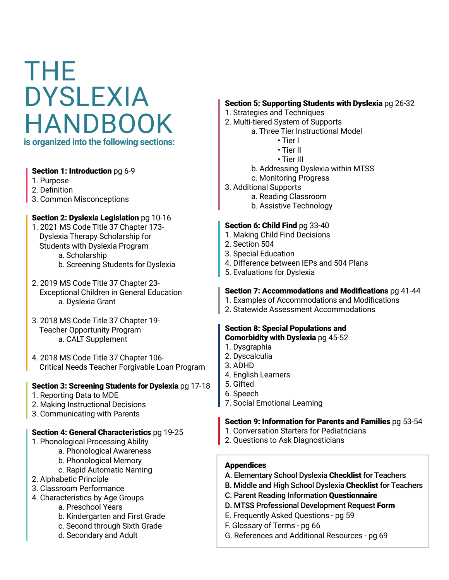# THE DYSLEXIA HANDBOOK **is organized into the following sections:**

#### Section 1: Introduction pg 6-9

- 1. Purpose
- 2. Definition
- 3. Common Misconceptions

#### Section 2: Dyslexia Legislation pg 10-16

- 1. 2021 MS Code Title 37 Chapter 173- Dyslexia Therapy Scholarship for Students with Dyslexia Program a. Scholarship
	- b. Screening Students for Dyslexia
- 2. 2019 MS Code Title 37 Chapter 23- Exceptional Children in General Education a. Dyslexia Grant
- 3. 2018 MS Code Title 37 Chapter 19- Teacher Opportunity Program a. CALT Supplement
- 4. 2018 MS Code Title 37 Chapter 106- Critical Needs Teacher Forgivable Loan Program

#### Section 3: Screening Students for Dyslexia pg 17-18

- 1. Reporting Data to MDE
- 2. Making Instructional Decisions
- 3. Communicating with Parents

#### Section 4: General Characteristics pg 19-25

- 1. Phonological Processing Ability
	- a. Phonological Awareness
	- b. Phonological Memory
		- c. Rapid Automatic Naming
- 2. Alphabetic Principle
- 3. Classroom Performance
- 4. Characteristics by Age Groups
	- a. Preschool Years
	- b. Kindergarten and First Grade
	- c. Second through Sixth Grade
	- d. Secondary and Adult

#### Section 5: Supporting Students with Dyslexia pg 26-32

- 1. Strategies and Techniques
- 2. Multi-tiered System of Supports
	- a. Three Tier Instructional Model
		- Tier I
			- Tier II
			- Tier III
		- b. Addressing Dyslexia within MTSS
	- c. Monitoring Progress
- 3. Additional Supports
	- a. Reading Classroom
	- b. Assistive Technology

#### Section 6: Child Find pg 33-40

- 1. Making Child Find Decisions
- 2. Section 504
- 3. Special Education
- 4. Difference between IEPs and 504 Plans
- 5. Evaluations for Dyslexia

#### Section 7: Accommodations and Modifications pg 41-44

- 1. Examples of Accommodations and Modifications
- 2. Statewide Assessment Accommodations

#### Section 8: Special Populations and Comorbidity with Dyslexia pg 45-52

- 1. Dysgraphia
- 2. Dyscalculia
- 3. ADHD
- 4. English Learners
- 5. Gifted
- 6. Speech
- 7. Social Emotional Learning

#### Section 9: Information for Parents and Families pg 53-54

- 1. Conversation Starters for Pediatricians
- 2. Questions to Ask Diagnosticians

#### **Appendices**

- A. Elementary School Dyslexia Checklist for Teachers
- B. Middle and High School Dyslexia Checklist for Teachers
- C. Parent Reading Information Questionnaire
- D. MTSS Professional Development Request Form
- E. Frequently Asked Questions pg 59
- F. Glossary of Terms pg 66
- G. References and Additional Resources pg 69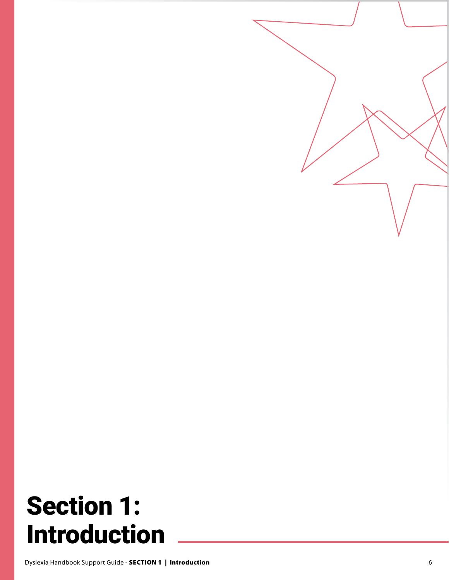# Section 1: Introduction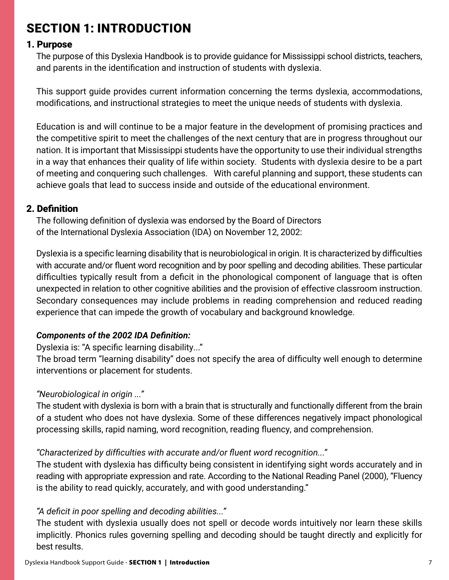# SECTION 1: INTRODUCTION

### 1. Purpose

The purpose of this Dyslexia Handbook is to provide guidance for Mississippi school districts, teachers, and parents in the identification and instruction of students with dyslexia.

This support guide provides current information concerning the terms dyslexia, accommodations, modifications, and instructional strategies to meet the unique needs of students with dyslexia.

Education is and will continue to be a major feature in the development of promising practices and the competitive spirit to meet the challenges of the next century that are in progress throughout our nation. It is important that Mississippi students have the opportunity to use their individual strengths in a way that enhances their quality of life within society. Students with dyslexia desire to be a part of meeting and conquering such challenges. With careful planning and support, these students can achieve goals that lead to success inside and outside of the educational environment.

# 2. Definition

The following definition of dyslexia was endorsed by the Board of Directors of the International Dyslexia Association (IDA) on November 12, 2002:

Dyslexia is a specific learning disability that is neurobiological in origin. It is characterized by difficulties with accurate and/or fluent word recognition and by poor spelling and decoding abilities. These particular difficulties typically result from a deficit in the phonological component of language that is often unexpected in relation to other cognitive abilities and the provision of effective classroom instruction. Secondary consequences may include problems in reading comprehension and reduced reading experience that can impede the growth of vocabulary and background knowledge.

# *Components of the 2002 IDA Definition:*

Dyslexia is: "A specific learning disability..."

The broad term "learning disability" does not specify the area of difficulty well enough to determine interventions or placement for students.

# *"Neurobiological in origin ..."*

The student with dyslexia is born with a brain that is structurally and functionally different from the brain of a student who does not have dyslexia. Some of these differences negatively impact phonological processing skills, rapid naming, word recognition, reading fluency, and comprehension.

# *"Characterized by difficulties with accurate and/or fluent word recognition..."*

The student with dyslexia has difficulty being consistent in identifying sight words accurately and in reading with appropriate expression and rate. According to the National Reading Panel (2000), "Fluency is the ability to read quickly, accurately, and with good understanding."

# *"A deficit in poor spelling and decoding abilities..."*

The student with dyslexia usually does not spell or decode words intuitively nor learn these skills implicitly. Phonics rules governing spelling and decoding should be taught directly and explicitly for best results.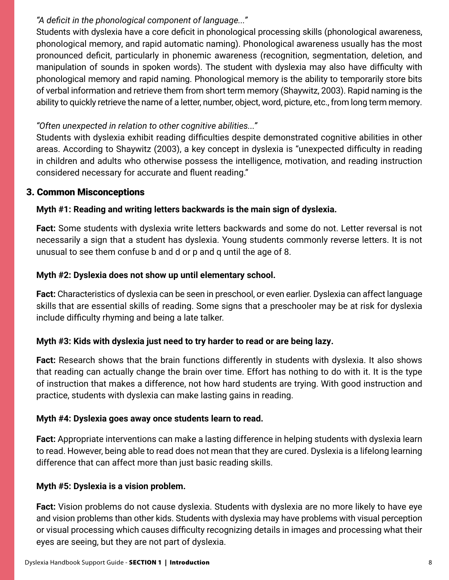# *"A deficit in the phonological component of language..."*

Students with dyslexia have a core deficit in phonological processing skills (phonological awareness, phonological memory, and rapid automatic naming). Phonological awareness usually has the most pronounced deficit, particularly in phonemic awareness (recognition, segmentation, deletion, and manipulation of sounds in spoken words). The student with dyslexia may also have difficulty with phonological memory and rapid naming. Phonological memory is the ability to temporarily store bits of verbal information and retrieve them from short term memory (Shaywitz, 2003). Rapid naming is the ability to quickly retrieve the name of a letter, number, object, word, picture, etc., from long term memory.

# *"Often unexpected in relation to other cognitive abilities..."*

Students with dyslexia exhibit reading difficulties despite demonstrated cognitive abilities in other areas. According to Shaywitz (2003), a key concept in dyslexia is "unexpected difficulty in reading in children and adults who otherwise possess the intelligence, motivation, and reading instruction considered necessary for accurate and fluent reading."

# 3. Common Misconceptions

# **Myth #1: Reading and writing letters backwards is the main sign of dyslexia.**

**Fact:** Some students with dyslexia write letters backwards and some do not. Letter reversal is not necessarily a sign that a student has dyslexia. Young students commonly reverse letters. It is not unusual to see them confuse b and d or p and q until the age of 8.

# **Myth #2: Dyslexia does not show up until elementary school.**

**Fact:** Characteristics of dyslexia can be seen in preschool, or even earlier. Dyslexia can affect language skills that are essential skills of reading. Some signs that a preschooler may be at risk for dyslexia include difficulty rhyming and being a late talker.

# **Myth #3: Kids with dyslexia just need to try harder to read or are being lazy.**

**Fact:** Research shows that the brain functions differently in students with dyslexia. It also shows that reading can actually change the brain over time. Effort has nothing to do with it. It is the type of instruction that makes a difference, not how hard students are trying. With good instruction and practice, students with dyslexia can make lasting gains in reading.

# **Myth #4: Dyslexia goes away once students learn to read.**

**Fact:** Appropriate interventions can make a lasting difference in helping students with dyslexia learn to read. However, being able to read does not mean that they are cured. Dyslexia is a lifelong learning difference that can affect more than just basic reading skills.

# **Myth #5: Dyslexia is a vision problem.**

**Fact:** Vision problems do not cause dyslexia. Students with dyslexia are no more likely to have eye and vision problems than other kids. Students with dyslexia may have problems with visual perception or visual processing which causes difficulty recognizing details in images and processing what their eyes are seeing, but they are not part of dyslexia.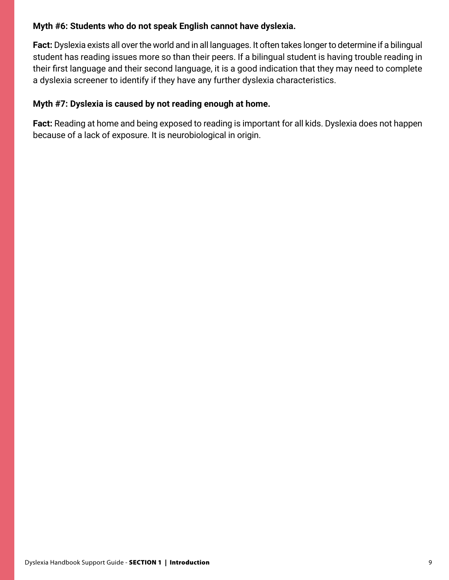### **Myth #6: Students who do not speak English cannot have dyslexia.**

**Fact:** Dyslexia exists all over the world and in all languages. It often takes longer to determine if a bilingual student has reading issues more so than their peers. If a bilingual student is having trouble reading in their first language and their second language, it is a good indication that they may need to complete a dyslexia screener to identify if they have any further dyslexia characteristics.

## **Myth #7: Dyslexia is caused by not reading enough at home.**

**Fact:** Reading at home and being exposed to reading is important for all kids. Dyslexia does not happen because of a lack of exposure. It is neurobiological in origin.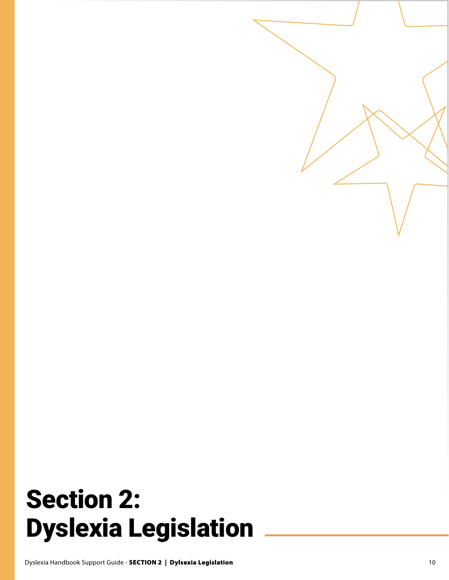# Section 2: Dyslexia Legislation

Dyslexia Handbook Support Guide - SECTION 2 | Dylsexia Legislation 10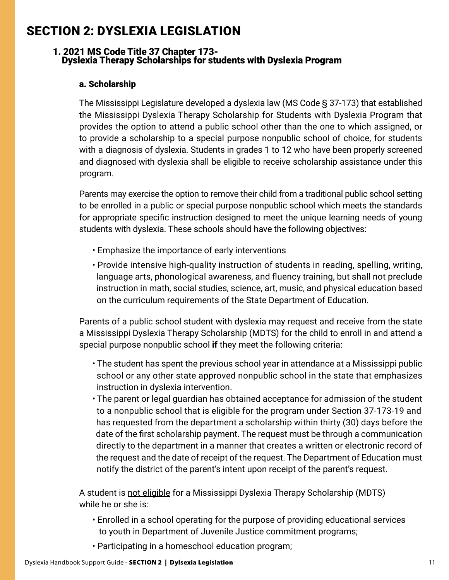# SECTION 2: DYSLEXIA LEGISLATION

#### 1. 2021 MS Code Title 37 Chapter 173- Dyslexia Therapy Scholarships for students with Dyslexia Program

#### a. Scholarship

The Mississippi Legislature developed a dyslexia law (MS Code § 37-173) that established the Mississippi Dyslexia Therapy Scholarship for Students with Dyslexia Program that provides the option to attend a public school other than the one to which assigned, or to provide a scholarship to a special purpose nonpublic school of choice, for students with a diagnosis of dyslexia. Students in grades 1 to 12 who have been properly screened and diagnosed with dyslexia shall be eligible to receive scholarship assistance under this program.

Parents may exercise the option to remove their child from a traditional public school setting to be enrolled in a public or special purpose nonpublic school which meets the standards for appropriate specific instruction designed to meet the unique learning needs of young students with dyslexia. These schools should have the following objectives:

- Emphasize the importance of early interventions
- Provide intensive high-quality instruction of students in reading, spelling, writing, language arts, phonological awareness, and fluency training, but shall not preclude instruction in math, social studies, science, art, music, and physical education based on the curriculum requirements of the State Department of Education.

Parents of a public school student with dyslexia may request and receive from the state a Mississippi Dyslexia Therapy Scholarship (MDTS) for the child to enroll in and attend a special purpose nonpublic school **if** they meet the following criteria:

- The student has spent the previous school year in attendance at a Mississippi public school or any other state approved nonpublic school in the state that emphasizes instruction in dyslexia intervention.
- The parent or legal guardian has obtained acceptance for admission of the student to a nonpublic school that is eligible for the program under Section 37-173-19 and has requested from the department a scholarship within thirty (30) days before the date of the first scholarship payment. The request must be through a communication directly to the department in a manner that creates a written or electronic record of the request and the date of receipt of the request. The Department of Education must notify the district of the parent's intent upon receipt of the parent's request.

A student is not eligible for a Mississippi Dyslexia Therapy Scholarship (MDTS) while he or she is:

- Enrolled in a school operating for the purpose of providing educational services to youth in Department of Juvenile Justice commitment programs;
- Participating in a homeschool education program;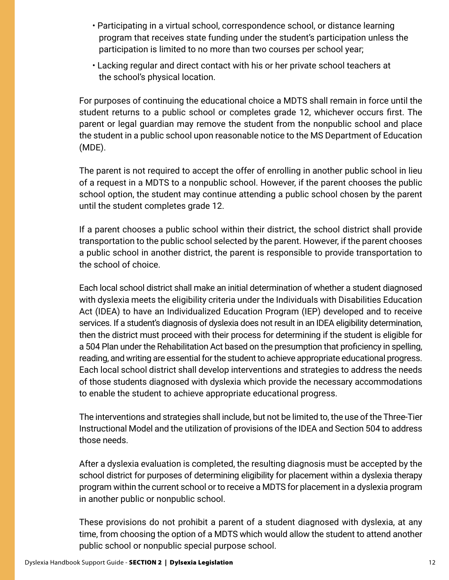- Participating in a virtual school, correspondence school, or distance learning program that receives state funding under the student's participation unless the participation is limited to no more than two courses per school year;
- Lacking regular and direct contact with his or her private school teachers at the school's physical location.

For purposes of continuing the educational choice a MDTS shall remain in force until the student returns to a public school or completes grade 12, whichever occurs first. The parent or legal guardian may remove the student from the nonpublic school and place the student in a public school upon reasonable notice to the MS Department of Education (MDE).

The parent is not required to accept the offer of enrolling in another public school in lieu of a request in a MDTS to a nonpublic school. However, if the parent chooses the public school option, the student may continue attending a public school chosen by the parent until the student completes grade 12.

If a parent chooses a public school within their district, the school district shall provide transportation to the public school selected by the parent. However, if the parent chooses a public school in another district, the parent is responsible to provide transportation to the school of choice.

Each local school district shall make an initial determination of whether a student diagnosed with dyslexia meets the eligibility criteria under the Individuals with Disabilities Education Act (IDEA) to have an Individualized Education Program (IEP) developed and to receive services. If a student's diagnosis of dyslexia does not result in an IDEA eligibility determination, then the district must proceed with their process for determining if the student is eligible for a 504 Plan under the Rehabilitation Act based on the presumption that proficiency in spelling, reading, and writing are essential for the student to achieve appropriate educational progress. Each local school district shall develop interventions and strategies to address the needs of those students diagnosed with dyslexia which provide the necessary accommodations to enable the student to achieve appropriate educational progress.

The interventions and strategies shall include, but not be limited to, the use of the Three-Tier Instructional Model and the utilization of provisions of the IDEA and Section 504 to address those needs.

After a dyslexia evaluation is completed, the resulting diagnosis must be accepted by the school district for purposes of determining eligibility for placement within a dyslexia therapy program within the current school or to receive a MDTS for placement in a dyslexia program in another public or nonpublic school.

These provisions do not prohibit a parent of a student diagnosed with dyslexia, at any time, from choosing the option of a MDTS which would allow the student to attend another public school or nonpublic special purpose school.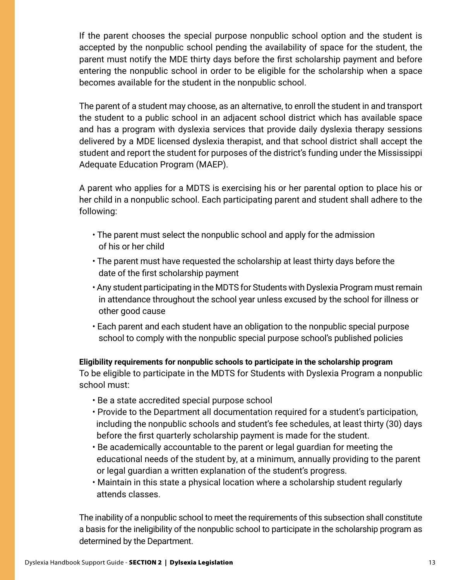If the parent chooses the special purpose nonpublic school option and the student is accepted by the nonpublic school pending the availability of space for the student, the parent must notify the MDE thirty days before the first scholarship payment and before entering the nonpublic school in order to be eligible for the scholarship when a space becomes available for the student in the nonpublic school.

The parent of a student may choose, as an alternative, to enroll the student in and transport the student to a public school in an adjacent school district which has available space and has a program with dyslexia services that provide daily dyslexia therapy sessions delivered by a MDE licensed dyslexia therapist, and that school district shall accept the student and report the student for purposes of the district's funding under the Mississippi Adequate Education Program (MAEP).

A parent who applies for a MDTS is exercising his or her parental option to place his or her child in a nonpublic school. Each participating parent and student shall adhere to the following:

- The parent must select the nonpublic school and apply for the admission of his or her child
- The parent must have requested the scholarship at least thirty days before the date of the first scholarship payment
- Any student participating in the MDTS for Students with Dyslexia Program must remain in attendance throughout the school year unless excused by the school for illness or other good cause
- Each parent and each student have an obligation to the nonpublic special purpose school to comply with the nonpublic special purpose school's published policies

**Eligibility requirements for nonpublic schools to participate in the scholarship program** To be eligible to participate in the MDTS for Students with Dyslexia Program a nonpublic school must:

- Be a state accredited special purpose school
- Provide to the Department all documentation required for a student's participation, including the nonpublic schools and student's fee schedules, at least thirty (30) days before the first quarterly scholarship payment is made for the student.
- Be academically accountable to the parent or legal guardian for meeting the educational needs of the student by, at a minimum, annually providing to the parent or legal guardian a written explanation of the student's progress.
- Maintain in this state a physical location where a scholarship student regularly attends classes.

The inability of a nonpublic school to meet the requirements of this subsection shall constitute a basis for the ineligibility of the nonpublic school to participate in the scholarship program as determined by the Department.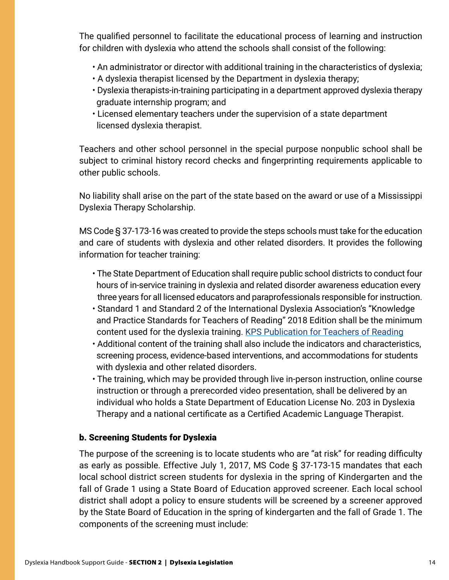The qualified personnel to facilitate the educational process of learning and instruction for children with dyslexia who attend the schools shall consist of the following:

- An administrator or director with additional training in the characteristics of dyslexia;
- A dyslexia therapist licensed by the Department in dyslexia therapy;
- Dyslexia therapists-in-training participating in a department approved dyslexia therapy graduate internship program; and
- Licensed elementary teachers under the supervision of a state department licensed dyslexia therapist.

Teachers and other school personnel in the special purpose nonpublic school shall be subject to criminal history record checks and fingerprinting requirements applicable to other public schools.

No liability shall arise on the part of the state based on the award or use of a Mississippi Dyslexia Therapy Scholarship.

MS Code § 37-173-16 was created to provide the steps schools must take for the education and care of students with dyslexia and other related disorders. It provides the following information for teacher training:

- The State Department of Education shall require public school districts to conduct four hours of in-service training in dyslexia and related disorder awareness education every three years for all licensed educators and paraprofessionals responsible for instruction.
- Standard 1 and Standard 2 of the International Dyslexia Association's "Knowledge and Practice Standards for Teachers of Reading" 2018 Edition shall be the minimum content used for the dyslexia training. [KPS Publication for Teachers of Reading](https://app.box.com/s/21gdk2k1p3bnagdfz1xy0v98j5ytl1wk)
- Additional content of the training shall also include the indicators and characteristics, screening process, evidence-based interventions, and accommodations for students with dyslexia and other related disorders.
- The training, which may be provided through live in-person instruction, online course instruction or through a prerecorded video presentation, shall be delivered by an individual who holds a State Department of Education License No. 203 in Dyslexia Therapy and a national certificate as a Certified Academic Language Therapist.

### b. Screening Students for Dyslexia

The purpose of the screening is to locate students who are "at risk" for reading difficulty as early as possible. Effective July 1, 2017, MS Code § 37-173-15 mandates that each local school district screen students for dyslexia in the spring of Kindergarten and the fall of Grade 1 using a State Board of Education approved screener. Each local school district shall adopt a policy to ensure students will be screened by a screener approved by the State Board of Education in the spring of kindergarten and the fall of Grade 1. The components of the screening must include: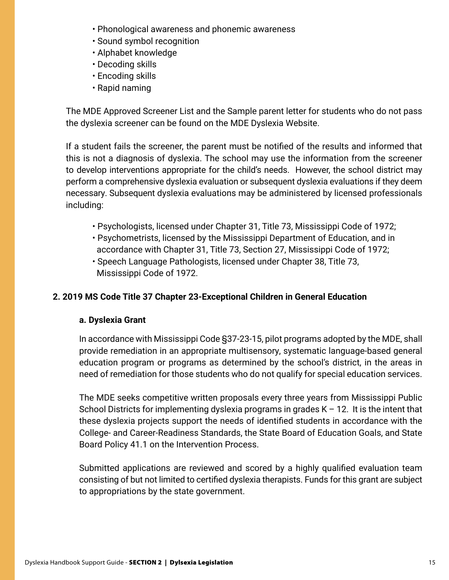- Phonological awareness and phonemic awareness
- Sound symbol recognition
- Alphabet knowledge
- Decoding skills
- Encoding skills
- Rapid naming

The MDE Approved Screener List and the Sample parent letter for students who do not pass the dyslexia screener can be found on the MDE Dyslexia Website.

If a student fails the screener, the parent must be notified of the results and informed that this is not a diagnosis of dyslexia. The school may use the information from the screener to develop interventions appropriate for the child's needs. However, the school district may perform a comprehensive dyslexia evaluation or subsequent dyslexia evaluations if they deem necessary. Subsequent dyslexia evaluations may be administered by licensed professionals including:

- Psychologists, licensed under Chapter 31, Title 73, Mississippi Code of 1972;
- Psychometrists, licensed by the Mississippi Department of Education, and in accordance with Chapter 31, Title 73, Section 27, Mississippi Code of 1972;
- Speech Language Pathologists, licensed under Chapter 38, Title 73, Mississippi Code of 1972.

### **2. 2019 MS Code Title 37 Chapter 23-Exceptional Children in General Education**

### **a. Dyslexia Grant**

In accordance with Mississippi Code §37-23-15, pilot programs adopted by the MDE, shall provide remediation in an appropriate multisensory, systematic language-based general education program or programs as determined by the school's district, in the areas in need of remediation for those students who do not qualify for special education services.

The MDE seeks competitive written proposals every three years from Mississippi Public School Districts for implementing dyslexia programs in grades  $K - 12$ . It is the intent that these dyslexia projects support the needs of identified students in accordance with the College- and Career-Readiness Standards, the State Board of Education Goals, and State Board Policy 41.1 on the Intervention Process.

Submitted applications are reviewed and scored by a highly qualified evaluation team consisting of but not limited to certified dyslexia therapists. Funds for this grant are subject to appropriations by the state government.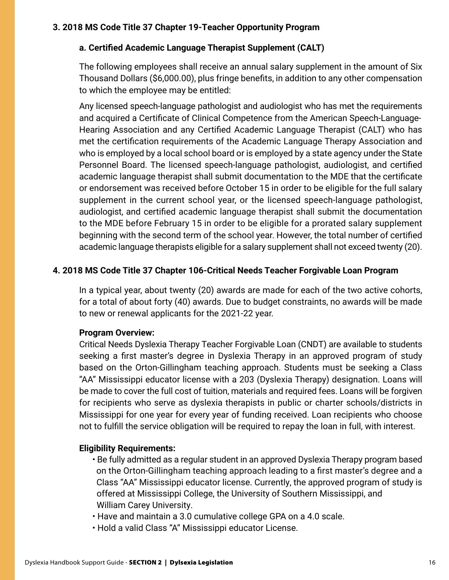### **3. 2018 MS Code Title 37 Chapter 19-Teacher Opportunity Program**

#### **a. Certified Academic Language Therapist Supplement (CALT)**

The following employees shall receive an annual salary supplement in the amount of Six Thousand Dollars (\$6,000.00), plus fringe benefits, in addition to any other compensation to which the employee may be entitled:

Any licensed speech-language pathologist and audiologist who has met the requirements and acquired a Certificate of Clinical Competence from the American Speech-Language-Hearing Association and any Certified Academic Language Therapist (CALT) who has met the certification requirements of the Academic Language Therapy Association and who is employed by a local school board or is employed by a state agency under the State Personnel Board. The licensed speech-language pathologist, audiologist, and certified academic language therapist shall submit documentation to the MDE that the certificate or endorsement was received before October 15 in order to be eligible for the full salary supplement in the current school year, or the licensed speech-language pathologist, audiologist, and certified academic language therapist shall submit the documentation to the MDE before February 15 in order to be eligible for a prorated salary supplement beginning with the second term of the school year. However, the total number of certified academic language therapists eligible for a salary supplement shall not exceed twenty (20).

#### **4. 2018 MS Code Title 37 Chapter 106-Critical Needs Teacher Forgivable Loan Program**

In a typical year, about twenty (20) awards are made for each of the two active cohorts, for a total of about forty (40) awards. Due to budget constraints, no awards will be made to new or renewal applicants for the 2021-22 year.

#### **Program Overview:**

Critical Needs Dyslexia Therapy Teacher Forgivable Loan (CNDT) are available to students seeking a first master's degree in Dyslexia Therapy in an approved program of study based on the Orton-Gillingham teaching approach. Students must be seeking a Class "AA" Mississippi educator license with a 203 (Dyslexia Therapy) designation. Loans will be made to cover the full cost of tuition, materials and required fees. Loans will be forgiven for recipients who serve as dyslexia therapists in public or charter schools/districts in Mississippi for one year for every year of funding received. Loan recipients who choose not to fulfill the service obligation will be required to repay the loan in full, with interest.

#### **Eligibility Requirements:**

- Be fully admitted as a regular student in an approved Dyslexia Therapy program based on the Orton-Gillingham teaching approach leading to a first master's degree and a Class "AA" Mississippi educator license. Currently, the approved program of study is offered at Mississippi College, the University of Southern Mississippi, and William Carey University.
- Have and maintain a 3.0 cumulative college GPA on a 4.0 scale.
- Hold a valid Class "A" Mississippi educator License.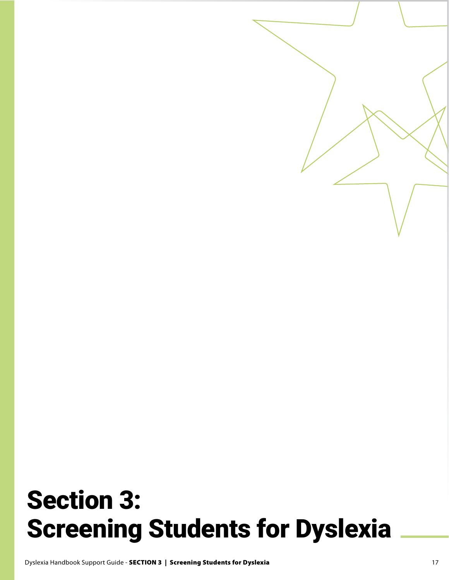# Section 3: Screening Students for Dyslexia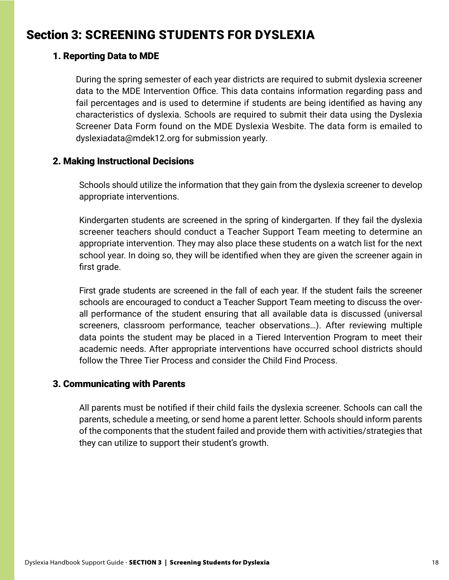# Section 3: SCREENING STUDENTS FOR DYSLEXIA

### 1. Reporting Data to MDE

During the spring semester of each year districts are required to submit dyslexia screener data to the MDE Intervention Office. This data contains information regarding pass and fail percentages and is used to determine if students are being identified as having any characteristics of dyslexia. Schools are required to submit their data using the Dyslexia Screener Data Form found on the MDE Dyslexia Wesbite. The data form is emailed to dyslexiadata@mdek12.org for submission yearly.

### 2. Making Instructional Decisions

Schools should utilize the information that they gain from the dyslexia screener to develop appropriate interventions.

Kindergarten students are screened in the spring of kindergarten. If they fail the dyslexia screener teachers should conduct a Teacher Support Team meeting to determine an appropriate intervention. They may also place these students on a watch list for the next school year. In doing so, they will be identified when they are given the screener again in first grade.

First grade students are screened in the fall of each year. If the student fails the screener schools are encouraged to conduct a Teacher Support Team meeting to discuss the overall performance of the student ensuring that all available data is discussed (universal screeners, classroom performance, teacher observations…). After reviewing multiple data points the student may be placed in a Tiered Intervention Program to meet their academic needs. After appropriate interventions have occurred school districts should follow the Three Tier Process and consider the Child Find Process.

### 3. Communicating with Parents

All parents must be notified if their child fails the dyslexia screener. Schools can call the parents, schedule a meeting, or send home a parent letter. Schools should inform parents of the components that the student failed and provide them with activities/strategies that they can utilize to support their student's growth.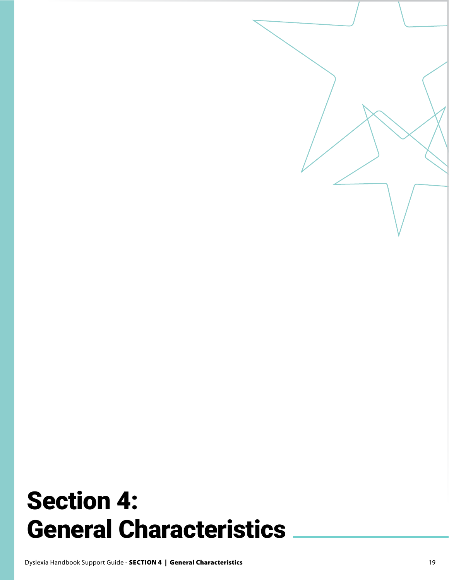# Section 4: General Characteristics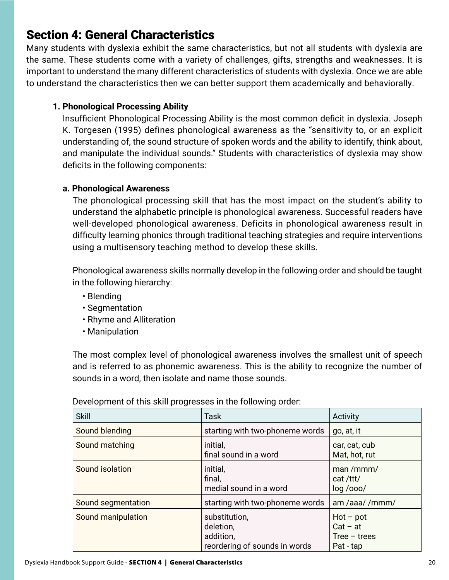# Section 4: General Characteristics

Many students with dyslexia exhibit the same characteristics, but not all students with dyslexia are the same. These students come with a variety of challenges, gifts, strengths and weaknesses. It is important to understand the many different characteristics of students with dyslexia. Once we are able to understand the characteristics then we can better support them academically and behaviorally.

# **1. Phonological Processing Ability**

Insufficient Phonological Processing Ability is the most common deficit in dyslexia. Joseph K. Torgesen (1995) defines phonological awareness as the "sensitivity to, or an explicit understanding of, the sound structure of spoken words and the ability to identify, think about, and manipulate the individual sounds." Students with characteristics of dyslexia may show deficits in the following components:

# **a. Phonological Awareness**

The phonological processing skill that has the most impact on the student's ability to understand the alphabetic principle is phonological awareness. Successful readers have well-developed phonological awareness. Deficits in phonological awareness result in difficulty learning phonics through traditional teaching strategies and require interventions using a multisensory teaching method to develop these skills.

Phonological awareness skills normally develop in the following order and should be taught in the following hierarchy:

- Blending
- Segmentation
- Rhyme and Alliteration
- Manipulation

The most complex level of phonological awareness involves the smallest unit of speech and is referred to as phonemic awareness. This is the ability to recognize the number of sounds in a word, then isolate and name those sounds.

| <b>Skill</b>       | <b>Task</b>                                                              | Activity                                                 |
|--------------------|--------------------------------------------------------------------------|----------------------------------------------------------|
| Sound blending     | starting with two-phoneme words                                          | go, at, it                                               |
| Sound matching     | initial,<br>final sound in a word                                        | car, cat, cub<br>Mat, hot, rut                           |
| Sound isolation    | initial,<br>final,<br>medial sound in a word                             | man/mmm/<br>cat /ttt/<br>log / ooo/                      |
| Sound segmentation | starting with two-phoneme words                                          | am /aaa//mmm/                                            |
| Sound manipulation | substitution,<br>deletion.<br>addition,<br>reordering of sounds in words | $Hot - pot$<br>$Cat - at$<br>Tree $-$ trees<br>Pat - tap |

Development of this skill progresses in the following order: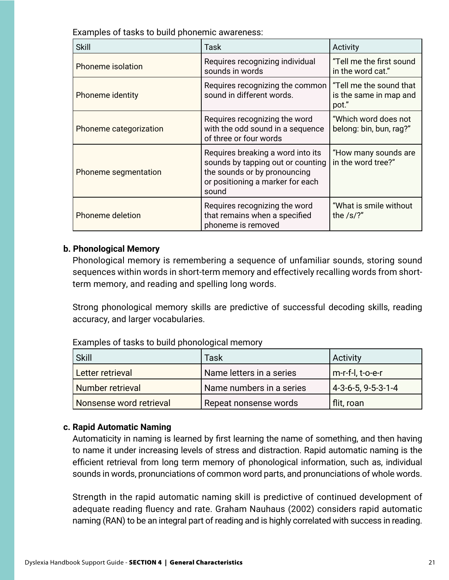Examples of tasks to build phonemic awareness:

| <b>Skill</b>            | Task                                                                                                                                                | Activity                                                   |
|-------------------------|-----------------------------------------------------------------------------------------------------------------------------------------------------|------------------------------------------------------------|
| Phoneme isolation       | Requires recognizing individual<br>sounds in words                                                                                                  | "Tell me the first sound<br>in the word cat."              |
| <b>Phoneme identity</b> | Requires recognizing the common<br>sound in different words.                                                                                        | "Tell me the sound that<br>is the same in map and<br>pot." |
| Phoneme categorization  | Requires recognizing the word<br>with the odd sound in a sequence<br>of three or four words                                                         | "Which word does not<br>belong: bin, bun, rag?"            |
| Phoneme segmentation    | Requires breaking a word into its<br>sounds by tapping out or counting<br>the sounds or by pronouncing<br>or positioning a marker for each<br>sound | "How many sounds are<br>in the word tree?"                 |
| Phoneme deletion        | Requires recognizing the word<br>that remains when a specified<br>phoneme is removed                                                                | "What is smile without<br>the $/s$ ?"                      |

#### **b. Phonological Memory**

Phonological memory is remembering a sequence of unfamiliar sounds, storing sound sequences within words in short-term memory and effectively recalling words from shortterm memory, and reading and spelling long words.

Strong phonological memory skills are predictive of successful decoding skills, reading accuracy, and larger vocabularies.

| Skill                   | Task                     | <b>Activity</b>      |
|-------------------------|--------------------------|----------------------|
| Letter retrieval        | Name letters in a series | m-r-f-l, t-o-e-r     |
| Number retrieval        | Name numbers in a series | $4-3-6-5, 9-5-3-1-4$ |
| Nonsense word retrieval | Repeat nonsense words    | flit, roan           |

Examples of tasks to build phonological memory

#### **c. Rapid Automatic Naming**

Automaticity in naming is learned by first learning the name of something, and then having to name it under increasing levels of stress and distraction. Rapid automatic naming is the efficient retrieval from long term memory of phonological information, such as, individual sounds in words, pronunciations of common word parts, and pronunciations of whole words.

Strength in the rapid automatic naming skill is predictive of continued development of adequate reading fluency and rate. Graham Nauhaus (2002) considers rapid automatic naming (RAN) to be an integral part of reading and is highly correlated with success in reading.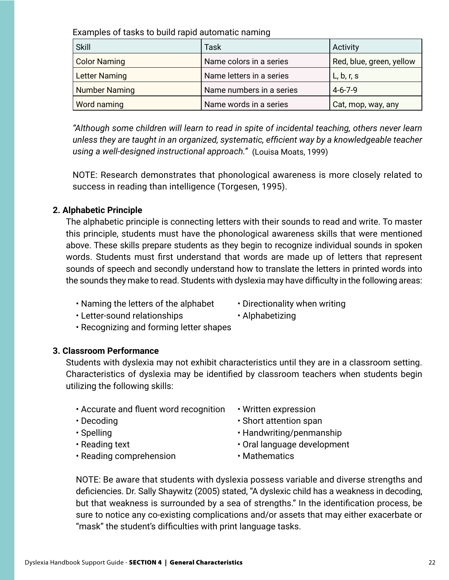Examples of tasks to build rapid automatic naming

| Skill                | Task                     | Activity                 |
|----------------------|--------------------------|--------------------------|
| <b>Color Naming</b>  | Name colors in a series  | Red, blue, green, yellow |
| <b>Letter Naming</b> | Name letters in a series | L, b, r, s               |
| <b>Number Naming</b> | Name numbers in a series | $4 - 6 - 7 - 9$          |
| Word naming          | Name words in a series   | Cat, mop, way, any       |

*"Although some children will learn to read in spite of incidental teaching, others never learn unless they are taught in an organized, systematic, efficient way by a knowledgeable teacher using a well-designed instructional approach."* (Louisa Moats, 1999)

NOTE: Research demonstrates that phonological awareness is more closely related to success in reading than intelligence (Torgesen, 1995).

#### **2. Alphabetic Principle**

The alphabetic principle is connecting letters with their sounds to read and write. To master this principle, students must have the phonological awareness skills that were mentioned above. These skills prepare students as they begin to recognize individual sounds in spoken words. Students must first understand that words are made up of letters that represent sounds of speech and secondly understand how to translate the letters in printed words into the sounds they make to read. Students with dyslexia may have difficulty in the following areas:

- Naming the letters of the alphabet  $\cdot$  Directionality when writing
- 
- Letter-sound relationships Alphabetizing
- 
- Recognizing and forming letter shapes

#### **3. Classroom Performance**

Students with dyslexia may not exhibit characteristics until they are in a classroom setting. Characteristics of dyslexia may be identified by classroom teachers when students begin utilizing the following skills:

- Accurate and fluent word recognition Written expression
- 
- 
- 
- Reading comprehension Mathematics
- 
- Decoding **•** Short attention span
- Spelling  **Handwriting/penmanship**
- Reading text Cral language development
	-

NOTE: Be aware that students with dyslexia possess variable and diverse strengths and deficiencies. Dr. Sally Shaywitz (2005) stated, "A dyslexic child has a weakness in decoding, but that weakness is surrounded by a sea of strengths." In the identification process, be sure to notice any co-existing complications and/or assets that may either exacerbate or "mask" the student's difficulties with print language tasks.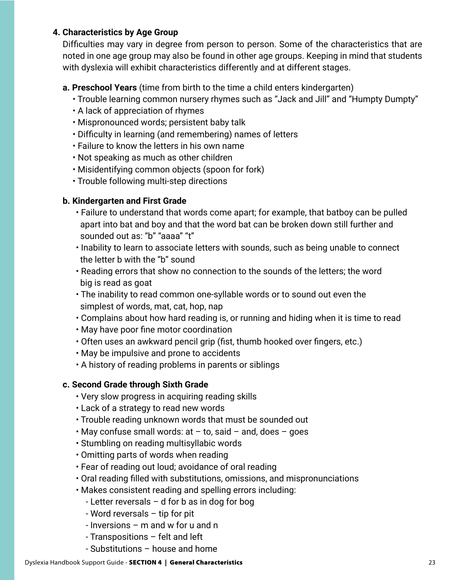#### **4. Characteristics by Age Group**

Difficulties may vary in degree from person to person. Some of the characteristics that are noted in one age group may also be found in other age groups. Keeping in mind that students with dyslexia will exhibit characteristics differently and at different stages.

#### **a. Preschool Years** (time from birth to the time a child enters kindergarten)

- Trouble learning common nursery rhymes such as "Jack and Jill" and "Humpty Dumpty"
- A lack of appreciation of rhymes
- Mispronounced words; persistent baby talk
- Difficulty in learning (and remembering) names of letters
- Failure to know the letters in his own name
- Not speaking as much as other children
- Misidentifying common objects (spoon for fork)
- Trouble following multi-step directions

#### **b. Kindergarten and First Grade**

- Failure to understand that words come apart; for example, that batboy can be pulled apart into bat and boy and that the word bat can be broken down still further and sounded out as: "b" "aaaa" "t"
- Inability to learn to associate letters with sounds, such as being unable to connect the letter b with the "b" sound
- Reading errors that show no connection to the sounds of the letters; the word big is read as goat
- The inability to read common one-syllable words or to sound out even the simplest of words, mat, cat, hop, nap
- Complains about how hard reading is, or running and hiding when it is time to read
- May have poor fine motor coordination
- Often uses an awkward pencil grip (fist, thumb hooked over fingers, etc.)
- May be impulsive and prone to accidents
- A history of reading problems in parents or siblings

#### **c. Second Grade through Sixth Grade**

- Very slow progress in acquiring reading skills
- Lack of a strategy to read new words
- Trouble reading unknown words that must be sounded out
- $\cdot$  May confuse small words: at  $-$  to, said  $-$  and, does  $-$  goes
- Stumbling on reading multisyllabic words
- Omitting parts of words when reading
- Fear of reading out loud; avoidance of oral reading
- Oral reading filled with substitutions, omissions, and mispronunciations
- Makes consistent reading and spelling errors including:
	- Letter reversals d for b as in dog for bog
	- Word reversals tip for pit
	- Inversions m and w for u and n
	- Transpositions felt and left
	- Substitutions house and home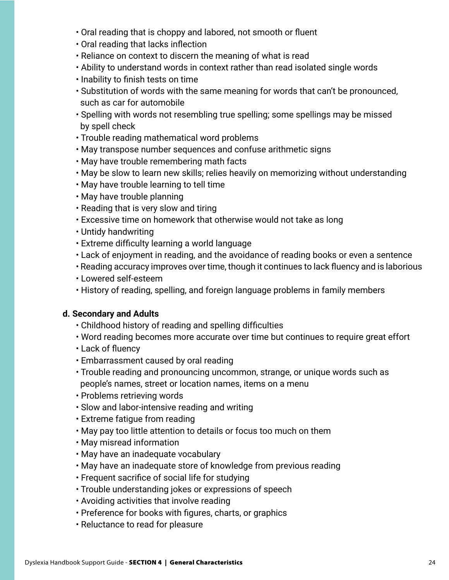- Oral reading that is choppy and labored, not smooth or fluent
- Oral reading that lacks inflection
- Reliance on context to discern the meaning of what is read
- Ability to understand words in context rather than read isolated single words
- Inability to finish tests on time
- Substitution of words with the same meaning for words that can't be pronounced, such as car for automobile
- Spelling with words not resembling true spelling; some spellings may be missed by spell check
- Trouble reading mathematical word problems
- May transpose number sequences and confuse arithmetic signs
- May have trouble remembering math facts
- May be slow to learn new skills; relies heavily on memorizing without understanding
- May have trouble learning to tell time
- May have trouble planning
- Reading that is very slow and tiring
- Excessive time on homework that otherwise would not take as long
- Untidy handwriting
- Extreme difficulty learning a world language
- Lack of enjoyment in reading, and the avoidance of reading books or even a sentence
- Reading accuracy improves over time, though it continues to lack fluency and is laborious
- Lowered self-esteem
- History of reading, spelling, and foreign language problems in family members

#### **d. Secondary and Adults**

- Childhood history of reading and spelling difficulties
- Word reading becomes more accurate over time but continues to require great effort
- Lack of fluency
- Embarrassment caused by oral reading
- Trouble reading and pronouncing uncommon, strange, or unique words such as people's names, street or location names, items on a menu
- Problems retrieving words
- Slow and labor-intensive reading and writing
- Extreme fatigue from reading
- May pay too little attention to details or focus too much on them
- May misread information
- May have an inadequate vocabulary
- May have an inadequate store of knowledge from previous reading
- Frequent sacrifice of social life for studying
- Trouble understanding jokes or expressions of speech
- Avoiding activities that involve reading
- Preference for books with figures, charts, or graphics
- Reluctance to read for pleasure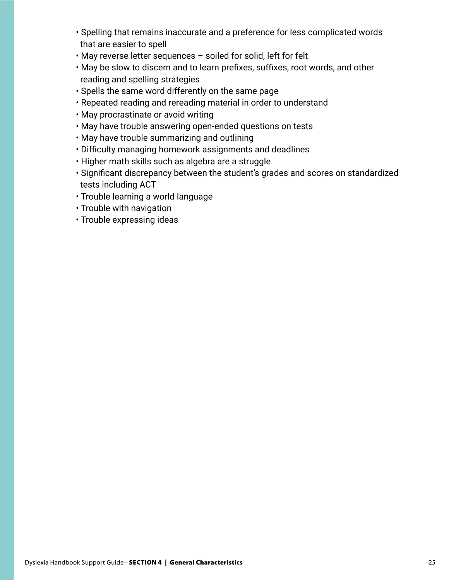- Spelling that remains inaccurate and a preference for less complicated words that are easier to spell
- May reverse letter sequences soiled for solid, left for felt
- May be slow to discern and to learn prefixes, suffixes, root words, and other reading and spelling strategies
- Spells the same word differently on the same page
- Repeated reading and rereading material in order to understand
- May procrastinate or avoid writing
- May have trouble answering open-ended questions on tests
- May have trouble summarizing and outlining
- Difficulty managing homework assignments and deadlines
- Higher math skills such as algebra are a struggle
- Significant discrepancy between the student's grades and scores on standardized tests including ACT
- Trouble learning a world language
- Trouble with navigation
- Trouble expressing ideas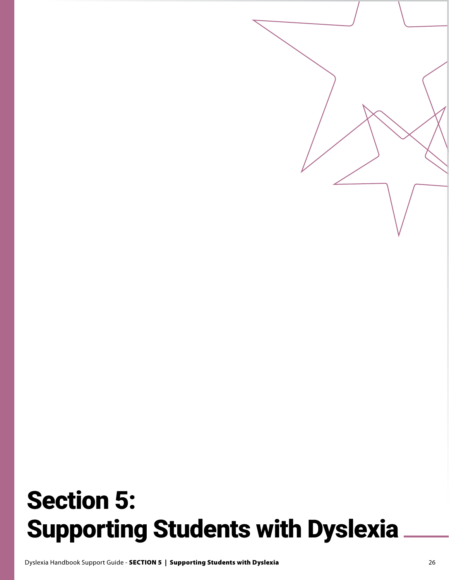# Section 5: Supporting Students with Dyslexia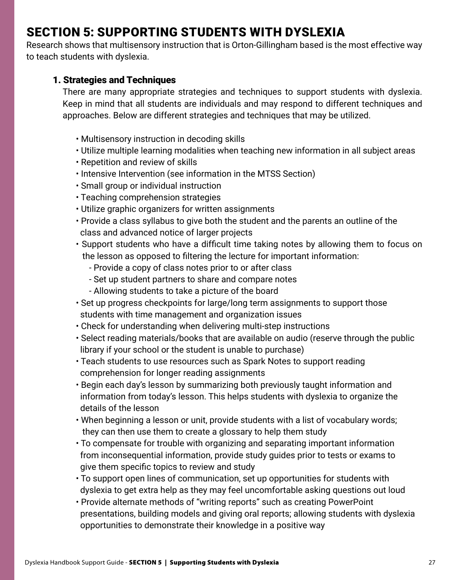# SECTION 5: SUPPORTING STUDENTS WITH DYSLEXIA

Research shows that multisensory instruction that is Orton-Gillingham based is the most effective way to teach students with dyslexia.

### 1. Strategies and Techniques

There are many appropriate strategies and techniques to support students with dyslexia. Keep in mind that all students are individuals and may respond to different techniques and approaches. Below are different strategies and techniques that may be utilized.

- Multisensory instruction in decoding skills
- Utilize multiple learning modalities when teaching new information in all subject areas
- Repetition and review of skills
- Intensive Intervention (see information in the MTSS Section)
- Small group or individual instruction
- Teaching comprehension strategies
- Utilize graphic organizers for written assignments
- Provide a class syllabus to give both the student and the parents an outline of the class and advanced notice of larger projects
- Support students who have a difficult time taking notes by allowing them to focus on the lesson as opposed to filtering the lecture for important information:
	- Provide a copy of class notes prior to or after class
	- Set up student partners to share and compare notes
	- Allowing students to take a picture of the board
- Set up progress checkpoints for large/long term assignments to support those students with time management and organization issues
- Check for understanding when delivering multi-step instructions
- Select reading materials/books that are available on audio (reserve through the public library if your school or the student is unable to purchase)
- Teach students to use resources such as Spark Notes to support reading comprehension for longer reading assignments
- Begin each day's lesson by summarizing both previously taught information and information from today's lesson. This helps students with dyslexia to organize the details of the lesson
- When beginning a lesson or unit, provide students with a list of vocabulary words; they can then use them to create a glossary to help them study
- To compensate for trouble with organizing and separating important information from inconsequential information, provide study guides prior to tests or exams to give them specific topics to review and study
- To support open lines of communication, set up opportunities for students with dyslexia to get extra help as they may feel uncomfortable asking questions out loud
- Provide alternate methods of "writing reports" such as creating PowerPoint presentations, building models and giving oral reports; allowing students with dyslexia opportunities to demonstrate their knowledge in a positive way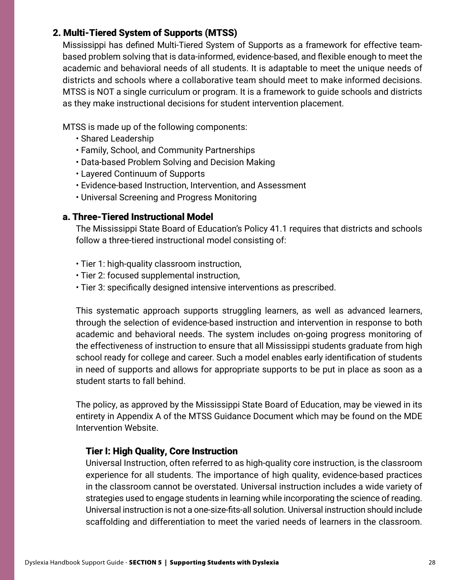# 2. Multi-Tiered System of Supports (MTSS)

Mississippi has defined Multi-Tiered System of Supports as a framework for effective teambased problem solving that is data-informed, evidence-based, and flexible enough to meet the academic and behavioral needs of all students. It is adaptable to meet the unique needs of districts and schools where a collaborative team should meet to make informed decisions. MTSS is NOT a single curriculum or program. It is a framework to guide schools and districts as they make instructional decisions for student intervention placement.

MTSS is made up of the following components:

- Shared Leadership
- Family, School, and Community Partnerships
- Data-based Problem Solving and Decision Making
- Layered Continuum of Supports
- Evidence-based Instruction, Intervention, and Assessment
- Universal Screening and Progress Monitoring

#### a. Three-Tiered Instructional Model

The Mississippi State Board of Education's Policy 41.1 requires that districts and schools follow a three-tiered instructional model consisting of:

- Tier 1: high-quality classroom instruction,
- Tier 2: focused supplemental instruction,
- Tier 3: specifically designed intensive interventions as prescribed.

This systematic approach supports struggling learners, as well as advanced learners, through the selection of evidence-based instruction and intervention in response to both academic and behavioral needs. The system includes on-going progress monitoring of the effectiveness of instruction to ensure that all Mississippi students graduate from high school ready for college and career. Such a model enables early identification of students in need of supports and allows for appropriate supports to be put in place as soon as a student starts to fall behind.

The policy, as approved by the Mississippi State Board of Education, may be viewed in its entirety in Appendix A of the MTSS Guidance Document which may be found on the MDE Intervention Website.

#### Tier I: High Quality, Core Instruction

Universal Instruction, often referred to as high-quality core instruction, is the classroom experience for all students. The importance of high quality, evidence-based practices in the classroom cannot be overstated. Universal instruction includes a wide variety of strategies used to engage students in learning while incorporating the science of reading. Universal instruction is not a one-size-fits-all solution. Universal instruction should include scaffolding and differentiation to meet the varied needs of learners in the classroom.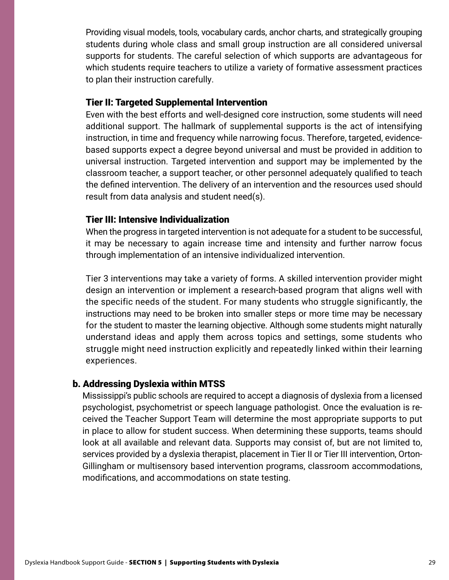Providing visual models, tools, vocabulary cards, anchor charts, and strategically grouping students during whole class and small group instruction are all considered universal supports for students. The careful selection of which supports are advantageous for which students require teachers to utilize a variety of formative assessment practices to plan their instruction carefully.

#### Tier II: Targeted Supplemental Intervention

Even with the best efforts and well-designed core instruction, some students will need additional support. The hallmark of supplemental supports is the act of intensifying instruction, in time and frequency while narrowing focus. Therefore, targeted, evidencebased supports expect a degree beyond universal and must be provided in addition to universal instruction. Targeted intervention and support may be implemented by the classroom teacher, a support teacher, or other personnel adequately qualified to teach the defined intervention. The delivery of an intervention and the resources used should result from data analysis and student need(s).

#### Tier III: Intensive Individualization

When the progress in targeted intervention is not adequate for a student to be successful, it may be necessary to again increase time and intensity and further narrow focus through implementation of an intensive individualized intervention.

Tier 3 interventions may take a variety of forms. A skilled intervention provider might design an intervention or implement a research-based program that aligns well with the specific needs of the student. For many students who struggle significantly, the instructions may need to be broken into smaller steps or more time may be necessary for the student to master the learning objective. Although some students might naturally understand ideas and apply them across topics and settings, some students who struggle might need instruction explicitly and repeatedly linked within their learning experiences.

#### b. Addressing Dyslexia within MTSS

Mississippi's public schools are required to accept a diagnosis of dyslexia from a licensed psychologist, psychometrist or speech language pathologist. Once the evaluation is received the Teacher Support Team will determine the most appropriate supports to put in place to allow for student success. When determining these supports, teams should look at all available and relevant data. Supports may consist of, but are not limited to, services provided by a dyslexia therapist, placement in Tier II or Tier III intervention, Orton-Gillingham or multisensory based intervention programs, classroom accommodations, modifications, and accommodations on state testing.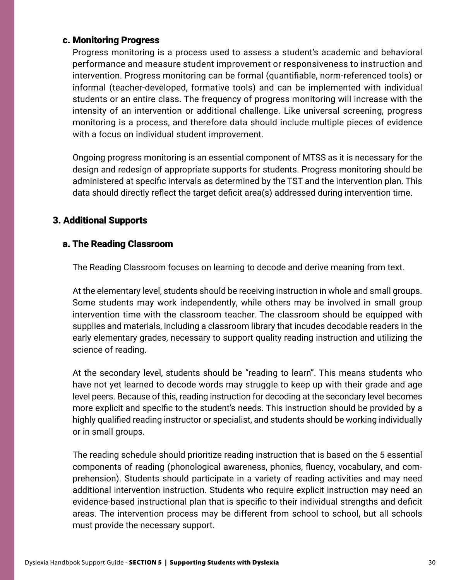#### c. Monitoring Progress

Progress monitoring is a process used to assess a student's academic and behavioral performance and measure student improvement or responsiveness to instruction and intervention. Progress monitoring can be formal (quantifiable, norm-referenced tools) or informal (teacher-developed, formative tools) and can be implemented with individual students or an entire class. The frequency of progress monitoring will increase with the intensity of an intervention or additional challenge. Like universal screening, progress monitoring is a process, and therefore data should include multiple pieces of evidence with a focus on individual student improvement.

Ongoing progress monitoring is an essential component of MTSS as it is necessary for the design and redesign of appropriate supports for students. Progress monitoring should be administered at specific intervals as determined by the TST and the intervention plan. This data should directly reflect the target deficit area(s) addressed during intervention time.

### 3. Additional Supports

### a. The Reading Classroom

The Reading Classroom focuses on learning to decode and derive meaning from text.

At the elementary level, students should be receiving instruction in whole and small groups. Some students may work independently, while others may be involved in small group intervention time with the classroom teacher. The classroom should be equipped with supplies and materials, including a classroom library that incudes decodable readers in the early elementary grades, necessary to support quality reading instruction and utilizing the science of reading.

At the secondary level, students should be "reading to learn". This means students who have not yet learned to decode words may struggle to keep up with their grade and age level peers. Because of this, reading instruction for decoding at the secondary level becomes more explicit and specific to the student's needs. This instruction should be provided by a highly qualified reading instructor or specialist, and students should be working individually or in small groups.

The reading schedule should prioritize reading instruction that is based on the 5 essential components of reading (phonological awareness, phonics, fluency, vocabulary, and comprehension). Students should participate in a variety of reading activities and may need additional intervention instruction. Students who require explicit instruction may need an evidence-based instructional plan that is specific to their individual strengths and deficit areas. The intervention process may be different from school to school, but all schools must provide the necessary support.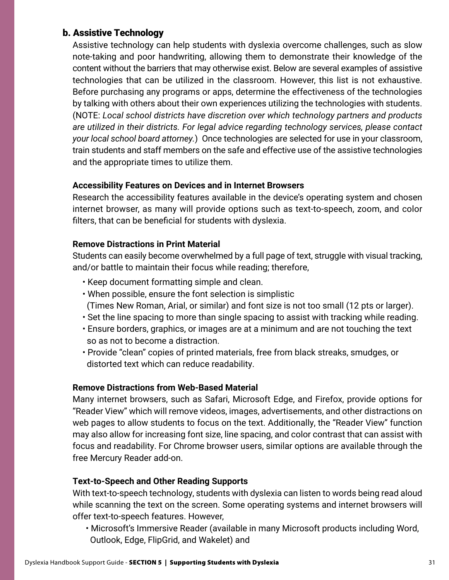### b. Assistive Technology

Assistive technology can help students with dyslexia overcome challenges, such as slow note-taking and poor handwriting, allowing them to demonstrate their knowledge of the content without the barriers that may otherwise exist. Below are several examples of assistive technologies that can be utilized in the classroom. However, this list is not exhaustive. Before purchasing any programs or apps, determine the effectiveness of the technologies by talking with others about their own experiences utilizing the technologies with students. (NOTE: *Local school districts have discretion over which technology partners and products are utilized in their districts. For legal advice regarding technology services, please contact your local school board attorney.*) Once technologies are selected for use in your classroom, train students and staff members on the safe and effective use of the assistive technologies and the appropriate times to utilize them.

#### **Accessibility Features on Devices and in Internet Browsers**

Research the accessibility features available in the device's operating system and chosen internet browser, as many will provide options such as text-to-speech, zoom, and color filters, that can be beneficial for students with dyslexia.

#### **Remove Distractions in Print Material**

Students can easily become overwhelmed by a full page of text, struggle with visual tracking, and/or battle to maintain their focus while reading; therefore,

- Keep document formatting simple and clean.
- When possible, ensure the font selection is simplistic
- (Times New Roman, Arial, or similar) and font size is not too small (12 pts or larger).
- Set the line spacing to more than single spacing to assist with tracking while reading.
- Ensure borders, graphics, or images are at a minimum and are not touching the text so as not to become a distraction.
- Provide "clean" copies of printed materials, free from black streaks, smudges, or distorted text which can reduce readability.

### **Remove Distractions from Web-Based Material**

Many internet browsers, such as Safari, Microsoft Edge, and Firefox, provide options for "Reader View" which will remove videos, images, advertisements, and other distractions on web pages to allow students to focus on the text. Additionally, the "Reader View" function may also allow for increasing font size, line spacing, and color contrast that can assist with focus and readability. For Chrome browser users, similar options are available through the free Mercury Reader add-on.

### **Text-to-Speech and Other Reading Supports**

With text-to-speech technology, students with dyslexia can listen to words being read aloud while scanning the text on the screen. Some operating systems and internet browsers will offer text-to-speech features. However,

• Microsoft's Immersive Reader (available in many Microsoft products including Word, Outlook, Edge, FlipGrid, and Wakelet) and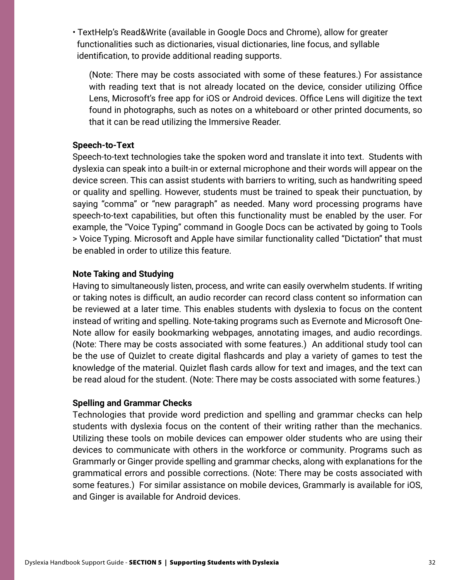• TextHelp's Read&Write (available in Google Docs and Chrome), allow for greater functionalities such as dictionaries, visual dictionaries, line focus, and syllable identification, to provide additional reading supports.

(Note: There may be costs associated with some of these features.) For assistance with reading text that is not already located on the device, consider utilizing Office Lens, Microsoft's free app for iOS or Android devices. Office Lens will digitize the text found in photographs, such as notes on a whiteboard or other printed documents, so that it can be read utilizing the Immersive Reader.

#### **Speech-to-Text**

Speech-to-text technologies take the spoken word and translate it into text. Students with dyslexia can speak into a built-in or external microphone and their words will appear on the device screen. This can assist students with barriers to writing, such as handwriting speed or quality and spelling. However, students must be trained to speak their punctuation, by saying "comma" or "new paragraph" as needed. Many word processing programs have speech-to-text capabilities, but often this functionality must be enabled by the user. For example, the "Voice Typing" command in Google Docs can be activated by going to Tools > Voice Typing. Microsoft and Apple have similar functionality called "Dictation" that must be enabled in order to utilize this feature.

#### **Note Taking and Studying**

Having to simultaneously listen, process, and write can easily overwhelm students. If writing or taking notes is difficult, an audio recorder can record class content so information can be reviewed at a later time. This enables students with dyslexia to focus on the content instead of writing and spelling. Note-taking programs such as Evernote and Microsoft One-Note allow for easily bookmarking webpages, annotating images, and audio recordings. (Note: There may be costs associated with some features.) An additional study tool can be the use of Quizlet to create digital flashcards and play a variety of games to test the knowledge of the material. Quizlet flash cards allow for text and images, and the text can be read aloud for the student. (Note: There may be costs associated with some features.)

#### **Spelling and Grammar Checks**

Technologies that provide word prediction and spelling and grammar checks can help students with dyslexia focus on the content of their writing rather than the mechanics. Utilizing these tools on mobile devices can empower older students who are using their devices to communicate with others in the workforce or community. Programs such as Grammarly or Ginger provide spelling and grammar checks, along with explanations for the grammatical errors and possible corrections. (Note: There may be costs associated with some features.) For similar assistance on mobile devices, Grammarly is available for iOS, and Ginger is available for Android devices.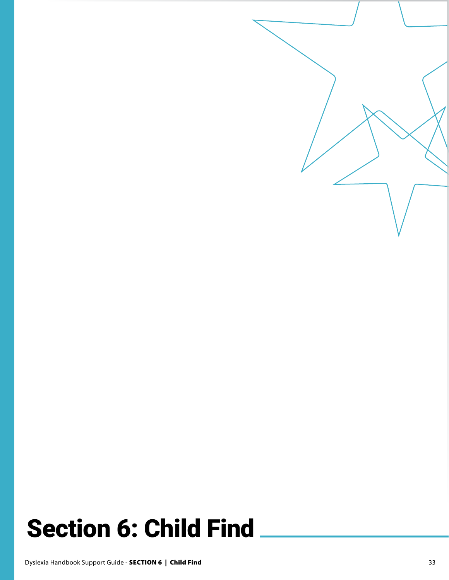# Section 6: Child Find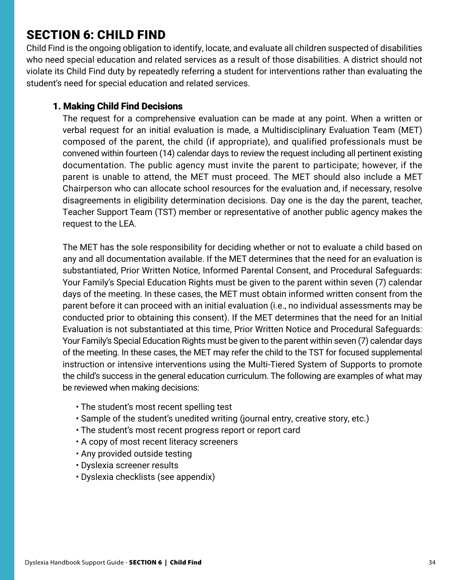# SECTION 6: CHILD FIND

Child Find is the ongoing obligation to identify, locate, and evaluate all children suspected of disabilities who need special education and related services as a result of those disabilities. A district should not violate its Child Find duty by repeatedly referring a student for interventions rather than evaluating the student's need for special education and related services.

### 1. Making Child Find Decisions

The request for a comprehensive evaluation can be made at any point. When a written or verbal request for an initial evaluation is made, a Multidisciplinary Evaluation Team (MET) composed of the parent, the child (if appropriate), and qualified professionals must be convened within fourteen (14) calendar days to review the request including all pertinent existing documentation. The public agency must invite the parent to participate; however, if the parent is unable to attend, the MET must proceed. The MET should also include a MET Chairperson who can allocate school resources for the evaluation and, if necessary, resolve disagreements in eligibility determination decisions. Day one is the day the parent, teacher, Teacher Support Team (TST) member or representative of another public agency makes the request to the LEA.

The MET has the sole responsibility for deciding whether or not to evaluate a child based on any and all documentation available. If the MET determines that the need for an evaluation is substantiated, Prior Written Notice, Informed Parental Consent, and Procedural Safeguards: Your Family's Special Education Rights must be given to the parent within seven (7) calendar days of the meeting. In these cases, the MET must obtain informed written consent from the parent before it can proceed with an initial evaluation (i.e., no individual assessments may be conducted prior to obtaining this consent). If the MET determines that the need for an Initial Evaluation is not substantiated at this time, Prior Written Notice and Procedural Safeguards: Your Family's Special Education Rights must be given to the parent within seven (7) calendar days of the meeting. In these cases, the MET may refer the child to the TST for focused supplemental instruction or intensive interventions using the Multi-Tiered System of Supports to promote the child's success in the general education curriculum. The following are examples of what may be reviewed when making decisions:

- The student's most recent spelling test
- Sample of the student's unedited writing (journal entry, creative story, etc.)
- The student's most recent progress report or report card
- A copy of most recent literacy screeners
- Any provided outside testing
- Dyslexia screener results
- Dyslexia checklists (see appendix)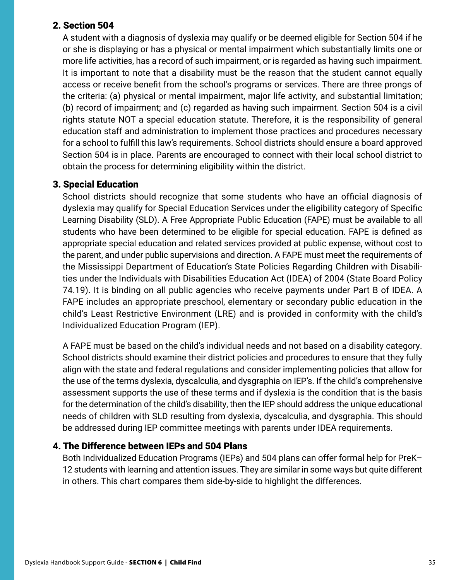## 2. Section 504

A student with a diagnosis of dyslexia may qualify or be deemed eligible for Section 504 if he or she is displaying or has a physical or mental impairment which substantially limits one or more life activities, has a record of such impairment, or is regarded as having such impairment. It is important to note that a disability must be the reason that the student cannot equally access or receive benefit from the school's programs or services. There are three prongs of the criteria: (a) physical or mental impairment, major life activity, and substantial limitation; (b) record of impairment; and (c) regarded as having such impairment. Section 504 is a civil rights statute NOT a special education statute. Therefore, it is the responsibility of general education staff and administration to implement those practices and procedures necessary for a school to fulfill this law's requirements. School districts should ensure a board approved Section 504 is in place. Parents are encouraged to connect with their local school district to obtain the process for determining eligibility within the district.

### 3. Special Education

School districts should recognize that some students who have an official diagnosis of dyslexia may qualify for Special Education Services under the eligibility category of Specific Learning Disability (SLD). A Free Appropriate Public Education (FAPE) must be available to all students who have been determined to be eligible for special education. FAPE is defined as appropriate special education and related services provided at public expense, without cost to the parent, and under public supervisions and direction. A FAPE must meet the requirements of the Mississippi Department of Education's State Policies Regarding Children with Disabilities under the Individuals with Disabilities Education Act (IDEA) of 2004 (State Board Policy 74.19). It is binding on all public agencies who receive payments under Part B of IDEA. A FAPE includes an appropriate preschool, elementary or secondary public education in the child's Least Restrictive Environment (LRE) and is provided in conformity with the child's Individualized Education Program (IEP).

A FAPE must be based on the child's individual needs and not based on a disability category. School districts should examine their district policies and procedures to ensure that they fully align with the state and federal regulations and consider implementing policies that allow for the use of the terms dyslexia, dyscalculia, and dysgraphia on IEP's. If the child's comprehensive assessment supports the use of these terms and if dyslexia is the condition that is the basis for the determination of the child's disability, then the IEP should address the unique educational needs of children with SLD resulting from dyslexia, dyscalculia, and dysgraphia. This should be addressed during IEP committee meetings with parents under IDEA requirements.

### 4. The Difference between IEPs and 504 Plans

Both Individualized Education Programs (IEPs) and 504 plans can offer formal help for PreK– 12 students with learning and attention issues. They are similar in some ways but quite different in others. This chart compares them side-by-side to highlight the differences.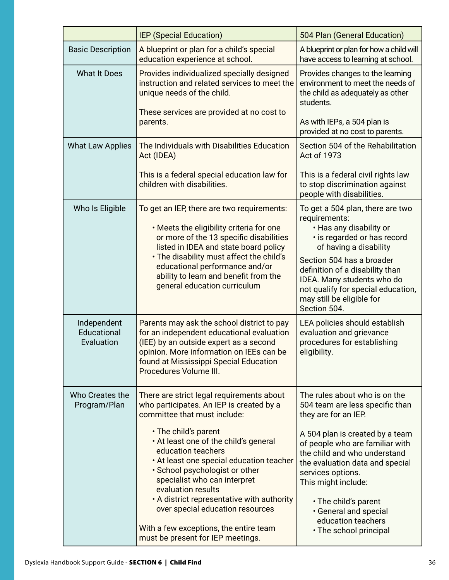|                                          | <b>IEP (Special Education)</b>                                                                                                                                                                                                                                                                                                                                                                                                                                                                                    | 504 Plan (General Education)                                                                                                                                                                                                                                                                                                                                                   |
|------------------------------------------|-------------------------------------------------------------------------------------------------------------------------------------------------------------------------------------------------------------------------------------------------------------------------------------------------------------------------------------------------------------------------------------------------------------------------------------------------------------------------------------------------------------------|--------------------------------------------------------------------------------------------------------------------------------------------------------------------------------------------------------------------------------------------------------------------------------------------------------------------------------------------------------------------------------|
| <b>Basic Description</b>                 | A blueprint or plan for a child's special<br>education experience at school.                                                                                                                                                                                                                                                                                                                                                                                                                                      | A blueprint or plan for how a child will<br>have access to learning at school.                                                                                                                                                                                                                                                                                                 |
| <b>What It Does</b>                      | Provides individualized specially designed<br>instruction and related services to meet the<br>unique needs of the child.                                                                                                                                                                                                                                                                                                                                                                                          | Provides changes to the learning<br>environment to meet the needs of<br>the child as adequately as other<br>students.                                                                                                                                                                                                                                                          |
|                                          | These services are provided at no cost to<br>parents.                                                                                                                                                                                                                                                                                                                                                                                                                                                             | As with IEPs, a 504 plan is<br>provided at no cost to parents.                                                                                                                                                                                                                                                                                                                 |
| <b>What Law Applies</b>                  | The Individuals with Disabilities Education<br>Act (IDEA)                                                                                                                                                                                                                                                                                                                                                                                                                                                         | Section 504 of the Rehabilitation<br>Act of 1973                                                                                                                                                                                                                                                                                                                               |
|                                          | This is a federal special education law for<br>children with disabilities.                                                                                                                                                                                                                                                                                                                                                                                                                                        | This is a federal civil rights law<br>to stop discrimination against<br>people with disabilities.                                                                                                                                                                                                                                                                              |
| Who Is Eligible                          | To get an IEP, there are two requirements:<br>. Meets the eligibility criteria for one<br>or more of the 13 specific disabilities<br>listed in IDEA and state board policy<br>. The disability must affect the child's<br>educational performance and/or<br>ability to learn and benefit from the<br>general education curriculum                                                                                                                                                                                 | To get a 504 plan, there are two<br>requirements:<br>• Has any disability or<br>· is regarded or has record<br>of having a disability<br>Section 504 has a broader<br>definition of a disability than<br>IDEA. Many students who do<br>not qualify for special education,<br>may still be eligible for<br>Section 504.                                                         |
| Independent<br>Educational<br>Evaluation | Parents may ask the school district to pay<br>for an independent educational evaluation<br>(IEE) by an outside expert as a second<br>opinion. More information on IEEs can be<br>found at Mississippi Special Education<br>Procedures Volume III.                                                                                                                                                                                                                                                                 | LEA policies should establish<br>evaluation and grievance<br>procedures for establishing<br>eligibility.                                                                                                                                                                                                                                                                       |
| Who Creates the<br>Program/Plan          | There are strict legal requirements about<br>who participates. An IEP is created by a<br>committee that must include:<br>. The child's parent<br>. At least one of the child's general<br>education teachers<br>. At least one special education teacher<br>• School psychologist or other<br>specialist who can interpret<br>evaluation results<br>. A district representative with authority<br>over special education resources<br>With a few exceptions, the entire team<br>must be present for IEP meetings. | The rules about who is on the<br>504 team are less specific than<br>they are for an IEP.<br>A 504 plan is created by a team<br>of people who are familiar with<br>the child and who understand<br>the evaluation data and special<br>services options.<br>This might include:<br>• The child's parent<br>· General and special<br>education teachers<br>• The school principal |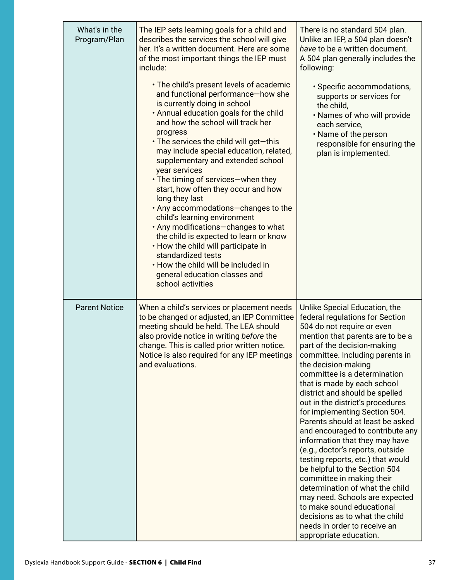| What's in the<br>Program/Plan | The IEP sets learning goals for a child and<br>describes the services the school will give<br>her. It's a written document. Here are some<br>of the most important things the IEP must<br>include:                                                                                                                                                                                                                                                                                                                                                                                                                                                                                                                                                                    | There is no standard 504 plan.<br>Unlike an IEP, a 504 plan doesn't<br>have to be a written document.<br>A 504 plan generally includes the<br>following:                                                                                                                                                                                                                                                                                                                                                                                                                                                                                                                                                                                                                                                                                         |
|-------------------------------|-----------------------------------------------------------------------------------------------------------------------------------------------------------------------------------------------------------------------------------------------------------------------------------------------------------------------------------------------------------------------------------------------------------------------------------------------------------------------------------------------------------------------------------------------------------------------------------------------------------------------------------------------------------------------------------------------------------------------------------------------------------------------|--------------------------------------------------------------------------------------------------------------------------------------------------------------------------------------------------------------------------------------------------------------------------------------------------------------------------------------------------------------------------------------------------------------------------------------------------------------------------------------------------------------------------------------------------------------------------------------------------------------------------------------------------------------------------------------------------------------------------------------------------------------------------------------------------------------------------------------------------|
|                               | . The child's present levels of academic<br>and functional performance-how she<br>is currently doing in school<br>. Annual education goals for the child<br>and how the school will track her<br>progress<br>• The services the child will get-this<br>may include special education, related,<br>supplementary and extended school<br>year services<br>• The timing of services-when they<br>start, how often they occur and how<br>long they last<br>. Any accommodations-changes to the<br>child's learning environment<br>. Any modifications-changes to what<br>the child is expected to learn or know<br>. How the child will participate in<br>standardized tests<br>. How the child will be included in<br>general education classes and<br>school activities | · Specific accommodations,<br>supports or services for<br>the child,<br>. Names of who will provide<br>each service,<br>. Name of the person<br>responsible for ensuring the<br>plan is implemented.                                                                                                                                                                                                                                                                                                                                                                                                                                                                                                                                                                                                                                             |
| <b>Parent Notice</b>          | When a child's services or placement needs<br>to be changed or adjusted, an IEP Committee<br>meeting should be held. The LEA should<br>also provide notice in writing before the<br>change. This is called prior written notice.<br>Notice is also required for any IEP meetings<br>and evaluations.                                                                                                                                                                                                                                                                                                                                                                                                                                                                  | Unlike Special Education, the<br>federal regulations for Section<br>504 do not require or even<br>mention that parents are to be a<br>part of the decision-making<br>committee. Including parents in<br>the decision-making<br>committee is a determination<br>that is made by each school<br>district and should be spelled<br>out in the district's procedures<br>for implementing Section 504.<br>Parents should at least be asked<br>and encouraged to contribute any<br>information that they may have<br>(e.g., doctor's reports, outside<br>testing reports, etc.) that would<br>be helpful to the Section 504<br>committee in making their<br>determination of what the child<br>may need. Schools are expected<br>to make sound educational<br>decisions as to what the child<br>needs in order to receive an<br>appropriate education. |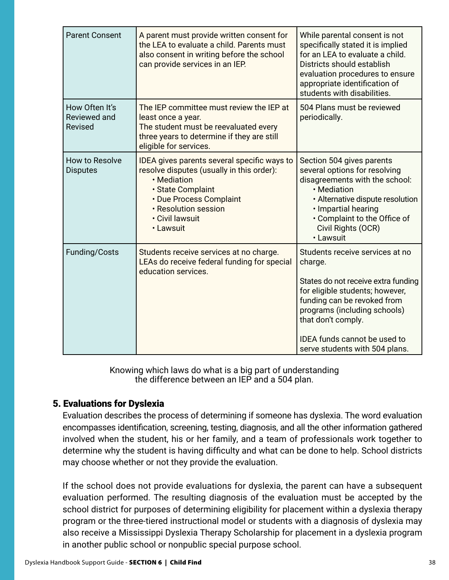| <b>Parent Consent</b>                     | A parent must provide written consent for<br>the LEA to evaluate a child. Parents must<br>also consent in writing before the school<br>can provide services in an IEP.                                          | While parental consent is not<br>specifically stated it is implied<br>for an LEA to evaluate a child.<br>Districts should establish<br>evaluation procedures to ensure<br>appropriate identification of<br>students with disabilities.                                             |
|-------------------------------------------|-----------------------------------------------------------------------------------------------------------------------------------------------------------------------------------------------------------------|------------------------------------------------------------------------------------------------------------------------------------------------------------------------------------------------------------------------------------------------------------------------------------|
| How Often It's<br>Reviewed and<br>Revised | The IEP committee must review the IEP at<br>least once a year.<br>The student must be reevaluated every<br>three years to determine if they are still<br>eligible for services.                                 | 504 Plans must be reviewed<br>periodically.                                                                                                                                                                                                                                        |
| How to Resolve<br><b>Disputes</b>         | IDEA gives parents several specific ways to<br>resolve disputes (usually in this order):<br>• Mediation<br>· State Complaint<br>• Due Process Complaint<br>· Resolution session<br>· Civil lawsuit<br>· Lawsuit | Section 504 gives parents<br>several options for resolving<br>disagreements with the school:<br>• Mediation<br>• Alternative dispute resolution<br>· Impartial hearing<br>• Complaint to the Office of<br>Civil Rights (OCR)<br>• Lawsuit                                          |
| Funding/Costs                             | Students receive services at no charge.<br>LEAs do receive federal funding for special<br>education services.                                                                                                   | Students receive services at no<br>charge.<br>States do not receive extra funding<br>for eligible students; however,<br>funding can be revoked from<br>programs (including schools)<br>that don't comply.<br><b>IDEA</b> funds cannot be used to<br>serve students with 504 plans. |

Knowing which laws do what is a big part of understanding the difference between an IEP and a 504 plan.

# 5. Evaluations for Dyslexia

Evaluation describes the process of determining if someone has dyslexia. The word evaluation encompasses identification, screening, testing, diagnosis, and all the other information gathered involved when the student, his or her family, and a team of professionals work together to determine why the student is having difficulty and what can be done to help. School districts may choose whether or not they provide the evaluation.

If the school does not provide evaluations for dyslexia, the parent can have a subsequent evaluation performed. The resulting diagnosis of the evaluation must be accepted by the school district for purposes of determining eligibility for placement within a dyslexia therapy program or the three-tiered instructional model or students with a diagnosis of dyslexia may also receive a Mississippi Dyslexia Therapy Scholarship for placement in a dyslexia program in another public school or nonpublic special purpose school.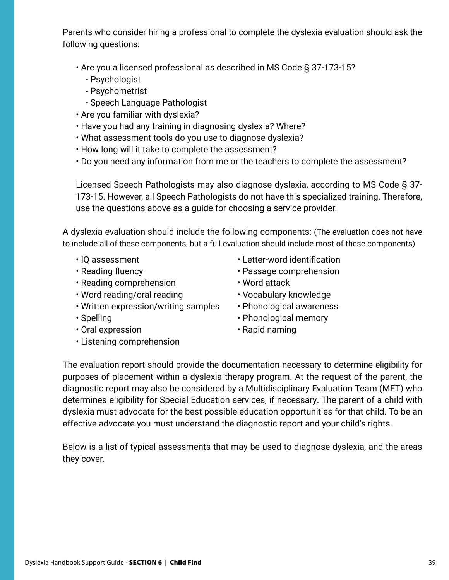Parents who consider hiring a professional to complete the dyslexia evaluation should ask the following questions:

• Are you a licensed professional as described in MS Code § 37-173-15?

- Psychologist
- Psychometrist
- Speech Language Pathologist
- Are you familiar with dyslexia?
- Have you had any training in diagnosing dyslexia? Where?
- What assessment tools do you use to diagnose dyslexia?
- How long will it take to complete the assessment?
- Do you need any information from me or the teachers to complete the assessment?

Licensed Speech Pathologists may also diagnose dyslexia, according to MS Code § 37- 173-15. However, all Speech Pathologists do not have this specialized training. Therefore, use the questions above as a guide for choosing a service provider.

A dyslexia evaluation should include the following components: (The evaluation does not have to include all of these components, but a full evaluation should include most of these components)

- 
- 
- Reading comprehension Word attack
- Word reading/oral reading Vocabulary knowledge
- Written expression/writing samples Phonological awareness
- 
- Oral expression Rapid naming
- Listening comprehension
- IQ assessment Letter-word identification
- Reading fluency  **Passage comprehension** 
	-
	-
	-
- Spelling Phonological memory
	-

The evaluation report should provide the documentation necessary to determine eligibility for purposes of placement within a dyslexia therapy program. At the request of the parent, the diagnostic report may also be considered by a Multidisciplinary Evaluation Team (MET) who determines eligibility for Special Education services, if necessary. The parent of a child with dyslexia must advocate for the best possible education opportunities for that child. To be an effective advocate you must understand the diagnostic report and your child's rights.

Below is a list of typical assessments that may be used to diagnose dyslexia, and the areas they cover.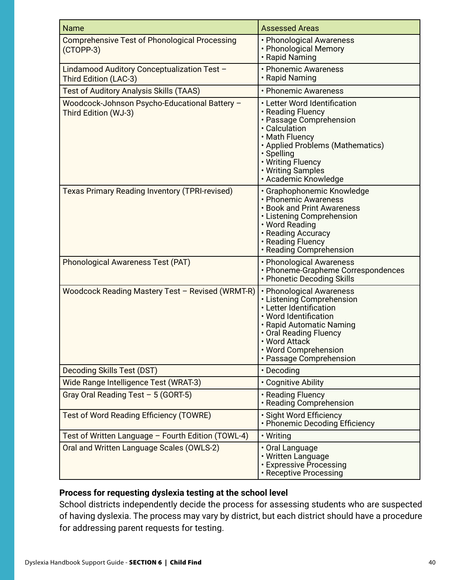| <b>Name</b>                                                           | <b>Assessed Areas</b>                                                                                                                                                                                                               |
|-----------------------------------------------------------------------|-------------------------------------------------------------------------------------------------------------------------------------------------------------------------------------------------------------------------------------|
| <b>Comprehensive Test of Phonological Processing</b><br>$(CTOPP-3)$   | • Phonological Awareness<br>• Phonological Memory<br>· Rapid Naming                                                                                                                                                                 |
| Lindamood Auditory Conceptualization Test -<br>Third Edition (LAC-3)  | • Phonemic Awareness<br>• Rapid Naming                                                                                                                                                                                              |
| <b>Test of Auditory Analysis Skills (TAAS)</b>                        | • Phonemic Awareness                                                                                                                                                                                                                |
| Woodcock-Johnson Psycho-Educational Battery -<br>Third Edition (WJ-3) | • Letter Word Identification<br>• Reading Fluency<br>• Passage Comprehension<br>• Calculation<br>• Math Fluency<br>• Applied Problems (Mathematics)<br>· Spelling<br>• Writing Fluency<br>• Writing Samples<br>· Academic Knowledge |
| <b>Texas Primary Reading Inventory (TPRI-revised)</b>                 | • Graphophonemic Knowledge<br>• Phonemic Awareness<br><b>· Book and Print Awareness</b><br>• Listening Comprehension<br>• Word Reading<br>• Reading Accuracy<br>• Reading Fluency<br>· Reading Comprehension                        |
| <b>Phonological Awareness Test (PAT)</b>                              | • Phonological Awareness<br>• Phoneme-Grapheme Correspondences<br>• Phonetic Decoding Skills                                                                                                                                        |
| Woodcock Reading Mastery Test - Revised (WRMT-R)                      | • Phonological Awareness<br>• Listening Comprehension<br>• Letter Identification<br>• Word Identification<br>· Rapid Automatic Naming<br>• Oral Reading Fluency<br>• Word Attack<br>. Word Comprehension<br>• Passage Comprehension |
| <b>Decoding Skills Test (DST)</b>                                     | · Decoding                                                                                                                                                                                                                          |
| Wide Range Intelligence Test (WRAT-3)                                 | • Cognitive Ability                                                                                                                                                                                                                 |
| Gray Oral Reading Test - 5 (GORT-5)                                   | • Reading Fluency<br>• Reading Comprehension                                                                                                                                                                                        |
| <b>Test of Word Reading Efficiency (TOWRE)</b>                        | · Sight Word Efficiency<br>• Phonemic Decoding Efficiency                                                                                                                                                                           |
| Test of Written Language - Fourth Edition (TOWL-4)                    | • Writing                                                                                                                                                                                                                           |
| Oral and Written Language Scales (OWLS-2)                             | • Oral Language<br>• Written Language<br>• Expressive Processing<br>• Receptive Processing                                                                                                                                          |

## **Process for requesting dyslexia testing at the school level**

School districts independently decide the process for assessing students who are suspected of having dyslexia. The process may vary by district, but each district should have a procedure for addressing parent requests for testing.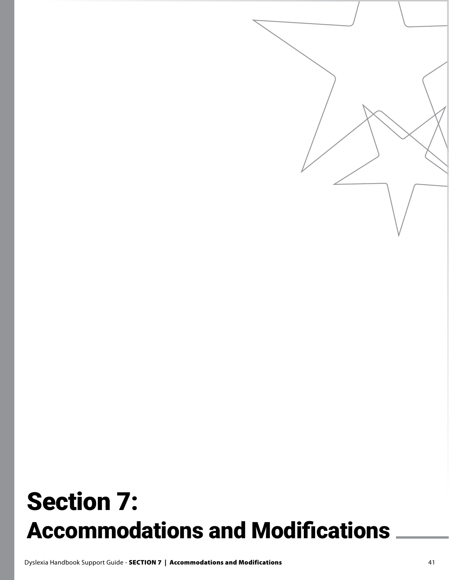# Section 7: Accommodations and Modifications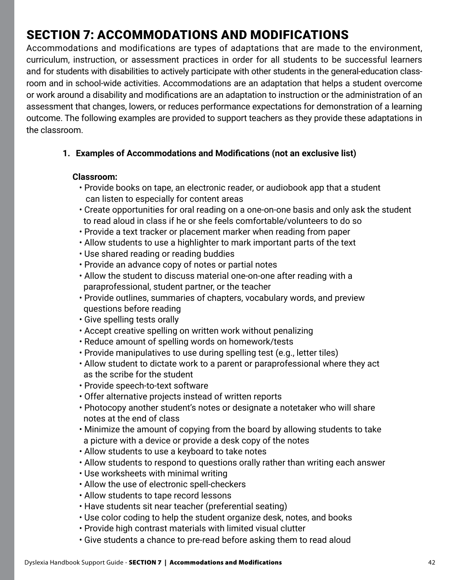# SECTION 7: ACCOMMODATIONS AND MODIFICATIONS

Accommodations and modifications are types of adaptations that are made to the environment, curriculum, instruction, or assessment practices in order for all students to be successful learners and for students with disabilities to actively participate with other students in the general-education classroom and in school-wide activities. Accommodations are an adaptation that helps a student overcome or work around a disability and modifications are an adaptation to instruction or the administration of an assessment that changes, lowers, or reduces performance expectations for demonstration of a learning outcome. The following examples are provided to support teachers as they provide these adaptations in the classroom.

**1. Examples of Accommodations and Modifications (not an exclusive list)**

#### **Classroom:**

- Provide books on tape, an electronic reader, or audiobook app that a student can listen to especially for content areas
- Create opportunities for oral reading on a one-on-one basis and only ask the student to read aloud in class if he or she feels comfortable/volunteers to do so
- Provide a text tracker or placement marker when reading from paper
- Allow students to use a highlighter to mark important parts of the text
- Use shared reading or reading buddies
- Provide an advance copy of notes or partial notes
- Allow the student to discuss material one-on-one after reading with a paraprofessional, student partner, or the teacher
- Provide outlines, summaries of chapters, vocabulary words, and preview questions before reading
- Give spelling tests orally
- Accept creative spelling on written work without penalizing
- Reduce amount of spelling words on homework/tests
- Provide manipulatives to use during spelling test (e.g., letter tiles)
- Allow student to dictate work to a parent or paraprofessional where they act as the scribe for the student
- Provide speech-to-text software
- Offer alternative projects instead of written reports
- Photocopy another student's notes or designate a notetaker who will share notes at the end of class
- Minimize the amount of copying from the board by allowing students to take a picture with a device or provide a desk copy of the notes
- Allow students to use a keyboard to take notes
- Allow students to respond to questions orally rather than writing each answer
- Use worksheets with minimal writing
- Allow the use of electronic spell-checkers
- Allow students to tape record lessons
- Have students sit near teacher (preferential seating)
- Use color coding to help the student organize desk, notes, and books
- Provide high contrast materials with limited visual clutter
- Give students a chance to pre-read before asking them to read aloud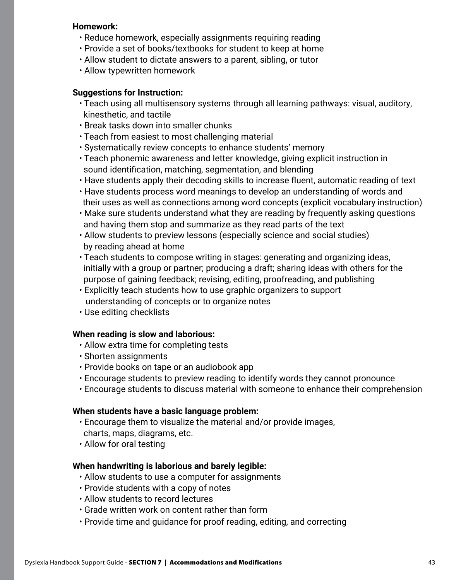#### **Homework:**

- Reduce homework, especially assignments requiring reading
- Provide a set of books/textbooks for student to keep at home
- Allow student to dictate answers to a parent, sibling, or tutor
- Allow typewritten homework

#### **Suggestions for Instruction:**

- Teach using all multisensory systems through all learning pathways: visual, auditory, kinesthetic, and tactile
- Break tasks down into smaller chunks
- Teach from easiest to most challenging material
- Systematically review concepts to enhance students' memory
- Teach phonemic awareness and letter knowledge, giving explicit instruction in sound identification, matching, segmentation, and blending
- Have students apply their decoding skills to increase fluent, automatic reading of text
- Have students process word meanings to develop an understanding of words and their uses as well as connections among word concepts (explicit vocabulary instruction)
- Make sure students understand what they are reading by frequently asking questions and having them stop and summarize as they read parts of the text
- Allow students to preview lessons (especially science and social studies) by reading ahead at home
- Teach students to compose writing in stages: generating and organizing ideas, initially with a group or partner; producing a draft; sharing ideas with others for the purpose of gaining feedback; revising, editing, proofreading, and publishing
- Explicitly teach students how to use graphic organizers to support understanding of concepts or to organize notes
- Use editing checklists

#### **When reading is slow and laborious:**

- Allow extra time for completing tests
- Shorten assignments
- Provide books on tape or an audiobook app
- Encourage students to preview reading to identify words they cannot pronounce
- Encourage students to discuss material with someone to enhance their comprehension

#### **When students have a basic language problem:**

- Encourage them to visualize the material and/or provide images, charts, maps, diagrams, etc.
- Allow for oral testing

#### **When handwriting is laborious and barely legible:**

- Allow students to use a computer for assignments
- Provide students with a copy of notes
- Allow students to record lectures
- Grade written work on content rather than form
- Provide time and guidance for proof reading, editing, and correcting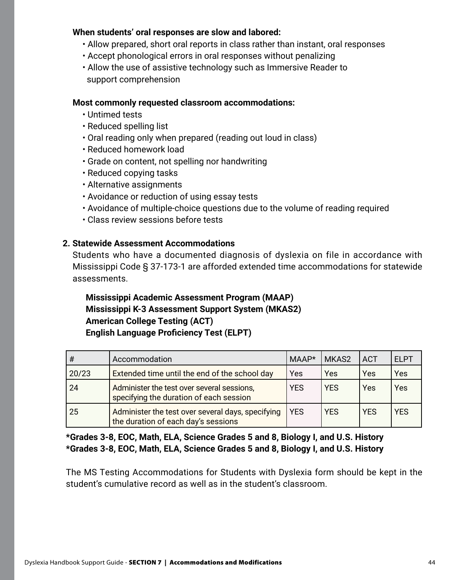#### **When students' oral responses are slow and labored:**

- Allow prepared, short oral reports in class rather than instant, oral responses
- Accept phonological errors in oral responses without penalizing
- Allow the use of assistive technology such as Immersive Reader to support comprehension

#### **Most commonly requested classroom accommodations:**

- Untimed tests
- Reduced spelling list
- Oral reading only when prepared (reading out loud in class)
- Reduced homework load
- Grade on content, not spelling nor handwriting
- Reduced copying tasks
- Alternative assignments
- Avoidance or reduction of using essay tests
- Avoidance of multiple-choice questions due to the volume of reading required
- Class review sessions before tests

#### **2. Statewide Assessment Accommodations**

Students who have a documented diagnosis of dyslexia on file in accordance with Mississippi Code § 37-173-1 are afforded extended time accommodations for statewide assessments.

## **Mississippi Academic Assessment Program (MAAP) Mississippi K-3 Assessment Support System (MKAS2) American College Testing (ACT) English Language Proficiency Test (ELPT)**

| #     | Accommodation                                                                            | MAAP*      | MKAS2      | <b>ACT</b> | <b>ELPT</b> |
|-------|------------------------------------------------------------------------------------------|------------|------------|------------|-------------|
| 20/23 | Extended time until the end of the school day                                            | Yes        | Yes        | Yes        | Yes         |
| 24    | Administer the test over several sessions,<br>specifying the duration of each session    | <b>YES</b> | <b>YES</b> | Yes        | Yes         |
| 25    | Administer the test over several days, specifying<br>the duration of each day's sessions | <b>YES</b> | <b>YES</b> | <b>YES</b> | <b>YES</b>  |

**\*Grades 3-8, EOC, Math, ELA, Science Grades 5 and 8, Biology I, and U.S. History \*Grades 3-8, EOC, Math, ELA, Science Grades 5 and 8, Biology I, and U.S. History**

The MS Testing Accommodations for Students with Dyslexia form should be kept in the student's cumulative record as well as in the student's classroom.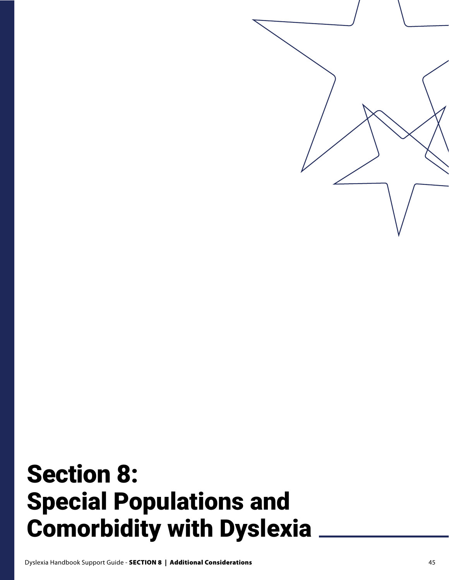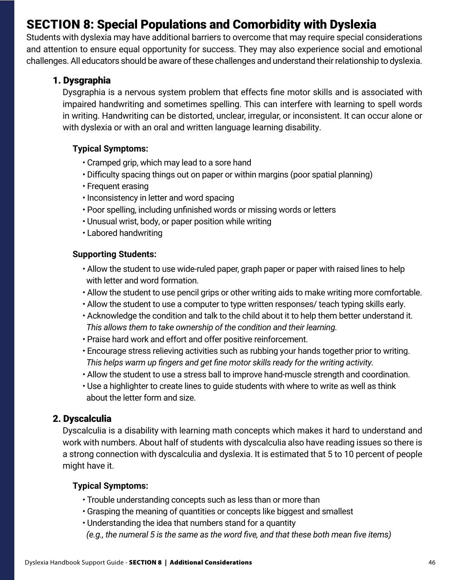# SECTION 8: Special Populations and Comorbidity with Dyslexia

Students with dyslexia may have additional barriers to overcome that may require special considerations and attention to ensure equal opportunity for success. They may also experience social and emotional challenges. All educators should be aware of these challenges and understand their relationship to dyslexia.

## 1. Dysgraphia

Dysgraphia is a nervous system problem that effects fine motor skills and is associated with impaired handwriting and sometimes spelling. This can interfere with learning to spell words in writing. Handwriting can be distorted, unclear, irregular, or inconsistent. It can occur alone or with dyslexia or with an oral and written language learning disability.

### **Typical Symptoms:**

- Cramped grip, which may lead to a sore hand
- Difficulty spacing things out on paper or within margins (poor spatial planning)
- Frequent erasing
- Inconsistency in letter and word spacing
- Poor spelling, including unfinished words or missing words or letters
- Unusual wrist, body, or paper position while writing
- Labored handwriting

#### **Supporting Students:**

- Allow the student to use wide-ruled paper, graph paper or paper with raised lines to help with letter and word formation.
- Allow the student to use pencil grips or other writing aids to make writing more comfortable.
- Allow the student to use a computer to type written responses/ teach typing skills early.
- Acknowledge the condition and talk to the child about it to help them better understand it. *This allows them to take ownership of the condition and their learning.*
- Praise hard work and effort and offer positive reinforcement.
- Encourage stress relieving activities such as rubbing your hands together prior to writing. *This helps warm up fingers and get fine motor skills ready for the writing activity.*
- Allow the student to use a stress ball to improve hand-muscle strength and coordination.
- Use a highlighter to create lines to guide students with where to write as well as think about the letter form and size.

### 2. Dyscalculia

Dyscalculia is a disability with learning math concepts which makes it hard to understand and work with numbers. About half of students with dyscalculia also have reading issues so there is a strong connection with dyscalculia and dyslexia. It is estimated that 5 to 10 percent of people might have it.

### **Typical Symptoms:**

- Trouble understanding concepts such as less than or more than
- Grasping the meaning of quantities or concepts like biggest and smallest
- Understanding the idea that numbers stand for a quantity
- *(e.g., the numeral 5 is the same as the word five, and that these both mean five items)*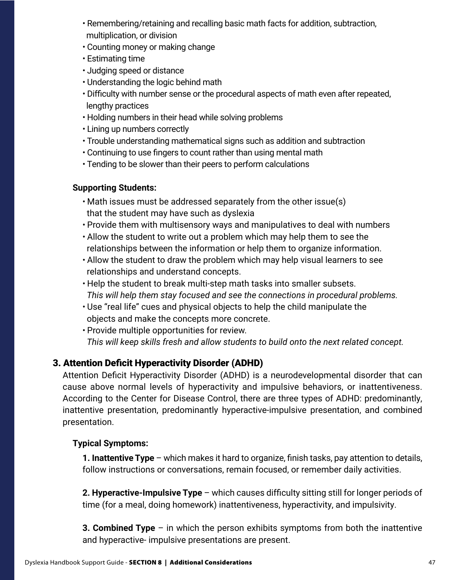- Remembering/retaining and recalling basic math facts for addition, subtraction, multiplication, or division
- Counting money or making change
- Estimating time
- Judging speed or distance
- Understanding the logic behind math
- Difficulty with number sense or the procedural aspects of math even after repeated, lengthy practices
- Holding numbers in their head while solving problems
- Lining up numbers correctly
- Trouble understanding mathematical signs such as addition and subtraction
- Continuing to use fingers to count rather than using mental math
- Tending to be slower than their peers to perform calculations

# **Supporting Students:**

- Math issues must be addressed separately from the other issue(s) that the student may have such as dyslexia
- Provide them with multisensory ways and manipulatives to deal with numbers
- Allow the student to write out a problem which may help them to see the relationships between the information or help them to organize information.
- Allow the student to draw the problem which may help visual learners to see relationships and understand concepts.
- Help the student to break multi-step math tasks into smaller subsets. *This will help them stay focused and see the connections in procedural problems.*
- Use "real life" cues and physical objects to help the child manipulate the objects and make the concepts more concrete.
- Provide multiple opportunities for review. *This will keep skills fresh and allow students to build onto the next related concept.*

# 3. Attention Deficit Hyperactivity Disorder (ADHD)

Attention Deficit Hyperactivity Disorder (ADHD) is a neurodevelopmental disorder that can cause above normal levels of hyperactivity and impulsive behaviors, or inattentiveness. According to the Center for Disease Control, there are three types of ADHD: predominantly, inattentive presentation, predominantly hyperactive-impulsive presentation, and combined presentation.

# **Typical Symptoms:**

**1. Inattentive Type** – which makes it hard to organize, finish tasks, pay attention to details, follow instructions or conversations, remain focused, or remember daily activities.

**2. Hyperactive-Impulsive Type** – which causes difficulty sitting still for longer periods of time (for a meal, doing homework) inattentiveness, hyperactivity, and impulsivity.

**3. Combined Type** – in which the person exhibits symptoms from both the inattentive and hyperactive- impulsive presentations are present.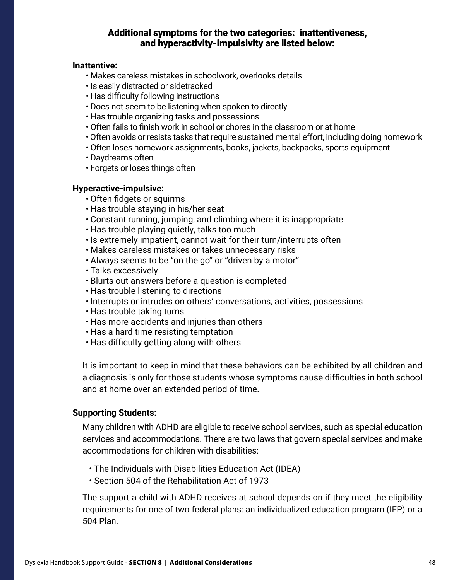#### Additional symptoms for the two categories: inattentiveness, and hyperactivity-impulsivity are listed below:

#### **Inattentive:**

- Makes careless mistakes in schoolwork, overlooks details
- Is easily distracted or sidetracked
- Has difficulty following instructions
- Does not seem to be listening when spoken to directly
- Has trouble organizing tasks and possessions
- Often fails to finish work in school or chores in the classroom or at home
- Often avoids or resists tasks that require sustained mental effort, including doing homework
- Often loses homework assignments, books, jackets, backpacks, sports equipment
- Daydreams often
- Forgets or loses things often

#### **Hyperactive-impulsive:**

- Often fidgets or squirms
- Has trouble staying in his/her seat
- Constant running, jumping, and climbing where it is inappropriate
- Has trouble playing quietly, talks too much
- Is extremely impatient, cannot wait for their turn/interrupts often
- Makes careless mistakes or takes unnecessary risks
- Always seems to be "on the go" or "driven by a motor"
- Talks excessively
- Blurts out answers before a question is completed
- Has trouble listening to directions
- Interrupts or intrudes on others' conversations, activities, possessions
- Has trouble taking turns
- Has more accidents and injuries than others
- Has a hard time resisting temptation
- Has difficulty getting along with others

It is important to keep in mind that these behaviors can be exhibited by all children and a diagnosis is only for those students whose symptoms cause difficulties in both school and at home over an extended period of time.

#### **Supporting Students:**

Many children with ADHD are eligible to receive school services, such as special education services and accommodations. There are two laws that govern special services and make accommodations for children with disabilities:

- The Individuals with Disabilities Education Act (IDEA)
- Section 504 of the Rehabilitation Act of 1973

The support a child with ADHD receives at school depends on if they meet the eligibility requirements for one of two federal plans: an individualized education program (IEP) or a 504 Plan.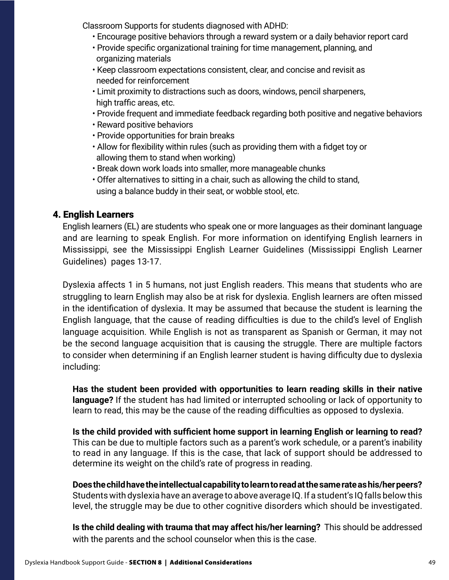Classroom Supports for students diagnosed with ADHD:

- Encourage positive behaviors through a reward system or a daily behavior report card
- Provide specific organizational training for time management, planning, and organizing materials
- Keep classroom expectations consistent, clear, and concise and revisit as needed for reinforcement
- Limit proximity to distractions such as doors, windows, pencil sharpeners, high traffic areas, etc.
- Provide frequent and immediate feedback regarding both positive and negative behaviors
- Reward positive behaviors
- Provide opportunities for brain breaks
- Allow for flexibility within rules (such as providing them with a fidget toy or allowing them to stand when working)
- Break down work loads into smaller, more manageable chunks
- Offer alternatives to sitting in a chair, such as allowing the child to stand, using a balance buddy in their seat, or wobble stool, etc.

# 4. English Learners

English learners (EL) are students who speak one or more languages as their dominant language and are learning to speak English. For more information on identifying English learners in Mississippi, see the Mississippi English Learner Guidelines (Mississippi English Learner Guidelines) pages 13-17.

Dyslexia affects 1 in 5 humans, not just English readers. This means that students who are struggling to learn English may also be at risk for dyslexia. English learners are often missed in the identification of dyslexia. It may be assumed that because the student is learning the English language, that the cause of reading difficulties is due to the child's level of English language acquisition. While English is not as transparent as Spanish or German, it may not be the second language acquisition that is causing the struggle. There are multiple factors to consider when determining if an English learner student is having difficulty due to dyslexia including:

**Has the student been provided with opportunities to learn reading skills in their native language?** If the student has had limited or interrupted schooling or lack of opportunity to learn to read, this may be the cause of the reading difficulties as opposed to dyslexia.

**Is the child provided with sufficient home support in learning English or learning to read?** This can be due to multiple factors such as a parent's work schedule, or a parent's inability to read in any language. If this is the case, that lack of support should be addressed to determine its weight on the child's rate of progress in reading.

**Does the child have the intellectual capability to learn to read at the same rate as his/her peers?** Students with dyslexia have an average to above average IQ. If a student's IQ falls below this level, the struggle may be due to other cognitive disorders which should be investigated.

**Is the child dealing with trauma that may affect his/her learning?** This should be addressed with the parents and the school counselor when this is the case.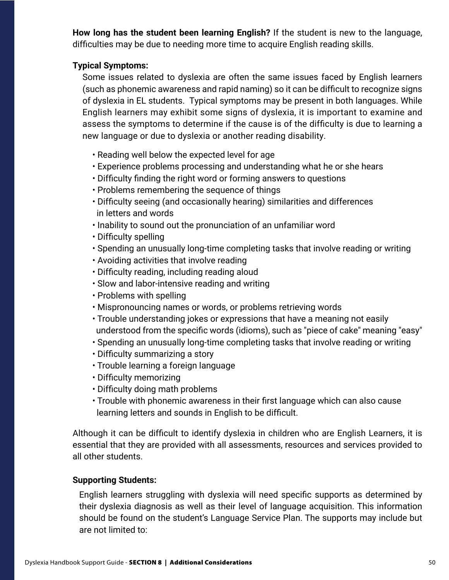**How long has the student been learning English?** If the student is new to the language, difficulties may be due to needing more time to acquire English reading skills.

#### **Typical Symptoms:**

Some issues related to dyslexia are often the same issues faced by English learners (such as phonemic awareness and rapid naming) so it can be difficult to recognize signs of dyslexia in EL students. Typical symptoms may be present in both languages. While English learners may exhibit some signs of dyslexia, it is important to examine and assess the symptoms to determine if the cause is of the difficulty is due to learning a new language or due to dyslexia or another reading disability.

- Reading well below the expected level for age
- Experience problems processing and understanding what he or she hears
- Difficulty finding the right word or forming answers to questions
- Problems remembering the sequence of things
- Difficulty seeing (and occasionally hearing) similarities and differences in letters and words
- Inability to sound out the pronunciation of an unfamiliar word
- Difficulty spelling
- Spending an unusually long-time completing tasks that involve reading or writing
- Avoiding activities that involve reading
- Difficulty reading, including reading aloud
- Slow and labor-intensive reading and writing
- Problems with spelling
- Mispronouncing names or words, or problems retrieving words
- Trouble understanding jokes or expressions that have a meaning not easily understood from the specific words (idioms), such as "piece of cake" meaning "easy"
- Spending an unusually long-time completing tasks that involve reading or writing
- Difficulty summarizing a story
- Trouble learning a foreign language
- Difficulty memorizing
- Difficulty doing math problems
- Trouble with phonemic awareness in their first language which can also cause learning letters and sounds in English to be difficult.

Although it can be difficult to identify dyslexia in children who are English Learners, it is essential that they are provided with all assessments, resources and services provided to all other students.

#### **Supporting Students:**

English learners struggling with dyslexia will need specific supports as determined by their dyslexia diagnosis as well as their level of language acquisition. This information should be found on the student's Language Service Plan. The supports may include but are not limited to: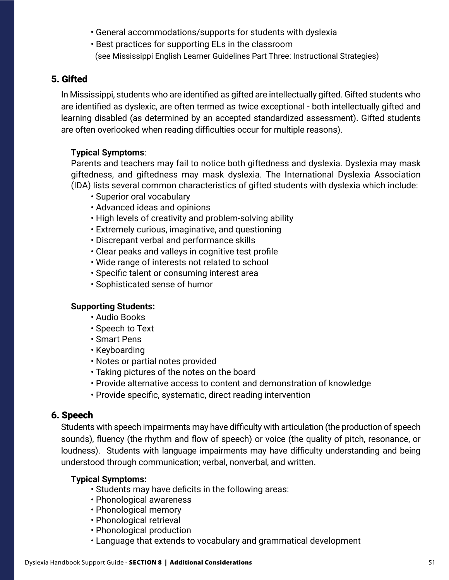- General accommodations/supports for students with dyslexia
- Best practices for supporting ELs in the classroom
- (see Mississippi English Learner Guidelines Part Three: Instructional Strategies)

# 5. Gifted

In Mississippi, students who are identified as gifted are intellectually gifted. Gifted students who are identified as dyslexic, are often termed as twice exceptional - both intellectually gifted and learning disabled (as determined by an accepted standardized assessment). Gifted students are often overlooked when reading difficulties occur for multiple reasons).

## **Typical Symptoms**:

Parents and teachers may fail to notice both giftedness and dyslexia. Dyslexia may mask giftedness, and giftedness may mask dyslexia. The International Dyslexia Association (IDA) lists several common characteristics of gifted students with dyslexia which include:

- Superior oral vocabulary
- Advanced ideas and opinions
- High levels of creativity and problem-solving ability
- Extremely curious, imaginative, and questioning
- Discrepant verbal and performance skills
- Clear peaks and valleys in cognitive test profile
- Wide range of interests not related to school
- Specific talent or consuming interest area
- Sophisticated sense of humor

### **Supporting Students:**

- Audio Books
- Speech to Text
- Smart Pens
- Keyboarding
- Notes or partial notes provided
- Taking pictures of the notes on the board
- Provide alternative access to content and demonstration of knowledge
- Provide specific, systematic, direct reading intervention

### 6. Speech

Students with speech impairments may have difficulty with articulation (the production of speech sounds), fluency (the rhythm and flow of speech) or voice (the quality of pitch, resonance, or loudness). Students with language impairments may have difficulty understanding and being understood through communication; verbal, nonverbal, and written.

#### **Typical Symptoms:**

- Students may have deficits in the following areas:
- Phonological awareness
- Phonological memory
- Phonological retrieval
- Phonological production
- Language that extends to vocabulary and grammatical development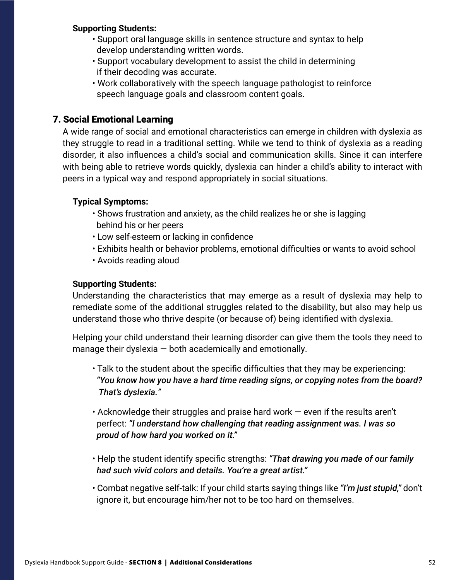#### **Supporting Students:**

- Support oral language skills in sentence structure and syntax to help develop understanding written words.
- Support vocabulary development to assist the child in determining if their decoding was accurate.
- Work collaboratively with the speech language pathologist to reinforce speech language goals and classroom content goals.

# 7. Social Emotional Learning

A wide range of social and emotional characteristics can emerge in children with dyslexia as they struggle to read in a traditional setting. While we tend to think of dyslexia as a reading disorder, it also influences a child's social and communication skills. Since it can interfere with being able to retrieve words quickly, dyslexia can hinder a child's ability to interact with peers in a typical way and respond appropriately in social situations.

## **Typical Symptoms:**

- Shows frustration and anxiety, as the child realizes he or she is lagging behind his or her peers
- Low self-esteem or lacking in confidence
- Exhibits health or behavior problems, emotional difficulties or wants to avoid school
- Avoids reading aloud

## **Supporting Students:**

Understanding the characteristics that may emerge as a result of dyslexia may help to remediate some of the additional struggles related to the disability, but also may help us understand those who thrive despite (or because of) being identified with dyslexia.

Helping your child understand their learning disorder can give them the tools they need to manage their dyslexia  $-$  both academically and emotionally.

- Talk to the student about the specific difficulties that they may be experiencing:  *"You know how you have a hard time reading signs, or copying notes from the board? That's dyslexia."*
- Acknowledge their struggles and praise hard work even if the results aren't perfect: *"I understand how challenging that reading assignment was. I was so proud of how hard you worked on it."*
- Help the student identify specific strengths: *"That drawing you made of our family had such vivid colors and details. You're a great artist."*
- Combat negative self-talk: If your child starts saying things like *"I'm just stupid,"* don't ignore it, but encourage him/her not to be too hard on themselves.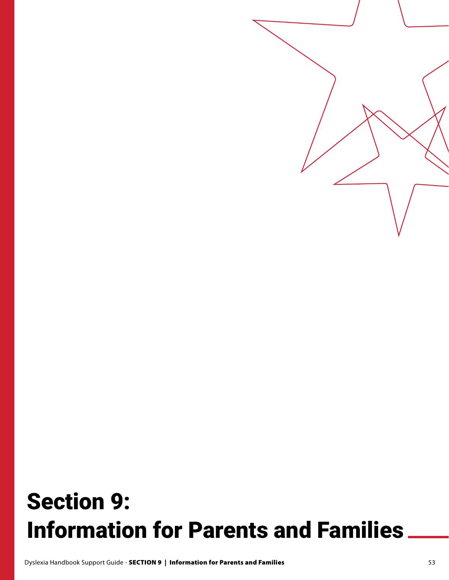# Section 9: Information for Parents and Families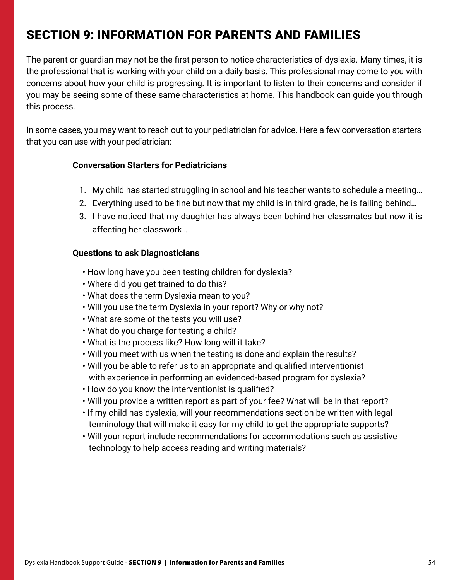# SECTION 9: INFORMATION FOR PARENTS AND FAMILIES

The parent or guardian may not be the first person to notice characteristics of dyslexia. Many times, it is the professional that is working with your child on a daily basis. This professional may come to you with concerns about how your child is progressing. It is important to listen to their concerns and consider if you may be seeing some of these same characteristics at home. This handbook can guide you through this process.

In some cases, you may want to reach out to your pediatrician for advice. Here a few conversation starters that you can use with your pediatrician:

#### **Conversation Starters for Pediatricians**

- 1. My child has started struggling in school and his teacher wants to schedule a meeting…
- 2. Everything used to be fine but now that my child is in third grade, he is falling behind…
- 3. I have noticed that my daughter has always been behind her classmates but now it is affecting her classwork…

#### **Questions to ask Diagnosticians**

- How long have you been testing children for dyslexia?
- Where did you get trained to do this?
- What does the term Dyslexia mean to you?
- Will you use the term Dyslexia in your report? Why or why not?
- What are some of the tests you will use?
- What do you charge for testing a child?
- What is the process like? How long will it take?
- Will you meet with us when the testing is done and explain the results?
- Will you be able to refer us to an appropriate and qualified interventionist with experience in performing an evidenced-based program for dyslexia?
- How do you know the interventionist is qualified?
- Will you provide a written report as part of your fee? What will be in that report?
- If my child has dyslexia, will your recommendations section be written with legal terminology that will make it easy for my child to get the appropriate supports?
- Will your report include recommendations for accommodations such as assistive technology to help access reading and writing materials?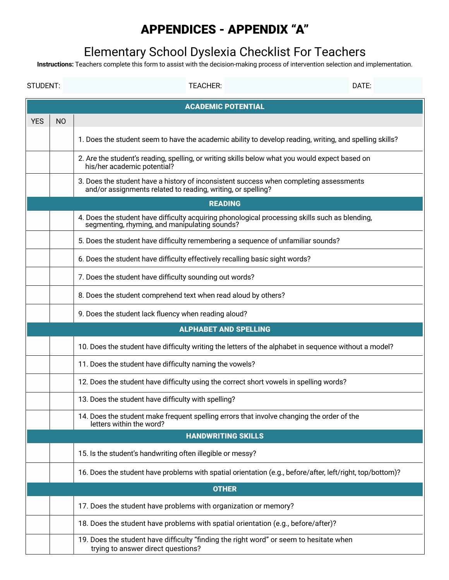# APPENDICES - APPENDIX "A"

# Elementary School Dyslexia Checklist For Teachers

**Instructions:** Teachers complete this form to assist with the decision-making process of intervention selection and implementation.

| STUDENT:                                                                                                                     |                           | <b>TEACHER:</b>                                                                                                                                        | DATE: |  |  |  |
|------------------------------------------------------------------------------------------------------------------------------|---------------------------|--------------------------------------------------------------------------------------------------------------------------------------------------------|-------|--|--|--|
|                                                                                                                              | <b>ACADEMIC POTENTIAL</b> |                                                                                                                                                        |       |  |  |  |
| <b>YES</b>                                                                                                                   | N <sub>O</sub>            |                                                                                                                                                        |       |  |  |  |
|                                                                                                                              |                           | 1. Does the student seem to have the academic ability to develop reading, writing, and spelling skills?                                                |       |  |  |  |
|                                                                                                                              |                           | 2. Are the student's reading, spelling, or writing skills below what you would expect based on<br>his/her academic potential?                          |       |  |  |  |
|                                                                                                                              |                           | 3. Does the student have a history of inconsistent success when completing assessments<br>and/or assignments related to reading, writing, or spelling? |       |  |  |  |
|                                                                                                                              |                           | <b>READING</b>                                                                                                                                         |       |  |  |  |
|                                                                                                                              |                           | 4. Does the student have difficulty acquiring phonological processing skills such as blending,<br>segmenting, rhyming, and manipulating sounds?        |       |  |  |  |
|                                                                                                                              |                           | 5. Does the student have difficulty remembering a sequence of unfamiliar sounds?                                                                       |       |  |  |  |
|                                                                                                                              |                           | 6. Does the student have difficulty effectively recalling basic sight words?                                                                           |       |  |  |  |
| 7. Does the student have difficulty sounding out words?                                                                      |                           |                                                                                                                                                        |       |  |  |  |
| 8. Does the student comprehend text when read aloud by others?                                                               |                           |                                                                                                                                                        |       |  |  |  |
|                                                                                                                              |                           | 9. Does the student lack fluency when reading aloud?                                                                                                   |       |  |  |  |
|                                                                                                                              |                           | <b>ALPHABET AND SPELLING</b>                                                                                                                           |       |  |  |  |
|                                                                                                                              |                           | 10. Does the student have difficulty writing the letters of the alphabet in sequence without a model?                                                  |       |  |  |  |
|                                                                                                                              |                           | 11. Does the student have difficulty naming the vowels?                                                                                                |       |  |  |  |
|                                                                                                                              |                           | 12. Does the student have difficulty using the correct short vowels in spelling words?                                                                 |       |  |  |  |
|                                                                                                                              |                           | 13. Does the student have difficulty with spelling?                                                                                                    |       |  |  |  |
|                                                                                                                              |                           | 14. Does the student make frequent spelling errors that involve changing the order of the<br>letters within the word?                                  |       |  |  |  |
|                                                                                                                              |                           | <b>HANDWRITING SKILLS</b>                                                                                                                              |       |  |  |  |
| 15. Is the student's handwriting often illegible or messy?                                                                   |                           |                                                                                                                                                        |       |  |  |  |
| 16. Does the student have problems with spatial orientation (e.g., before/after, left/right, top/bottom)?                    |                           |                                                                                                                                                        |       |  |  |  |
|                                                                                                                              |                           | <b>OTHER</b>                                                                                                                                           |       |  |  |  |
|                                                                                                                              |                           | 17. Does the student have problems with organization or memory?                                                                                        |       |  |  |  |
|                                                                                                                              |                           | 18. Does the student have problems with spatial orientation (e.g., before/after)?                                                                      |       |  |  |  |
| 19. Does the student have difficulty "finding the right word" or seem to hesitate when<br>trying to answer direct questions? |                           |                                                                                                                                                        |       |  |  |  |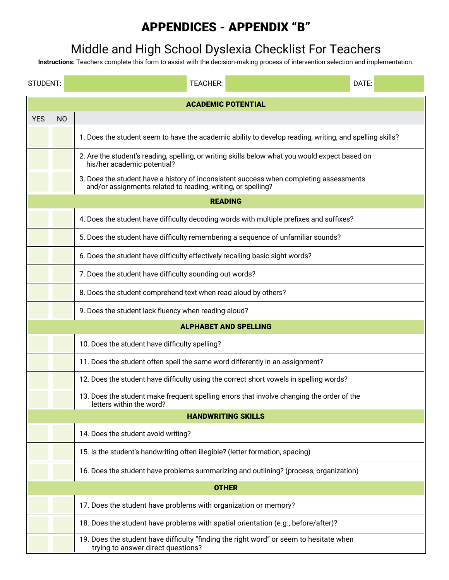# APPENDICES - APPENDIX "B"

# Middle and High School Dyslexia Checklist For Teachers

**Instructions:** Teachers complete this form to assist with the decision-making process of intervention selection and implementation.

| STUDENT:   |                                                                                                                              | DATE:<br><b>TEACHER:</b>                                                                                                                               |  |  |  |
|------------|------------------------------------------------------------------------------------------------------------------------------|--------------------------------------------------------------------------------------------------------------------------------------------------------|--|--|--|
|            | <b>ACADEMIC POTENTIAL</b>                                                                                                    |                                                                                                                                                        |  |  |  |
| <b>YES</b> | <b>NO</b>                                                                                                                    |                                                                                                                                                        |  |  |  |
|            |                                                                                                                              | 1. Does the student seem to have the academic ability to develop reading, writing, and spelling skills?                                                |  |  |  |
|            |                                                                                                                              | 2. Are the student's reading, spelling, or writing skills below what you would expect based on<br>his/her academic potential?                          |  |  |  |
|            |                                                                                                                              | 3. Does the student have a history of inconsistent success when completing assessments<br>and/or assignments related to reading, writing, or spelling? |  |  |  |
|            |                                                                                                                              | <b>READING</b>                                                                                                                                         |  |  |  |
|            |                                                                                                                              | 4. Does the student have difficulty decoding words with multiple prefixes and suffixes?                                                                |  |  |  |
|            |                                                                                                                              | 5. Does the student have difficulty remembering a sequence of unfamiliar sounds?                                                                       |  |  |  |
|            |                                                                                                                              | 6. Does the student have difficulty effectively recalling basic sight words?                                                                           |  |  |  |
|            |                                                                                                                              | 7. Does the student have difficulty sounding out words?                                                                                                |  |  |  |
|            |                                                                                                                              | 8. Does the student comprehend text when read aloud by others?                                                                                         |  |  |  |
|            |                                                                                                                              | 9. Does the student lack fluency when reading aloud?                                                                                                   |  |  |  |
|            |                                                                                                                              | <b>ALPHABET AND SPELLING</b>                                                                                                                           |  |  |  |
|            |                                                                                                                              | 10. Does the student have difficulty spelling?                                                                                                         |  |  |  |
|            |                                                                                                                              | 11. Does the student often spell the same word differently in an assignment?                                                                           |  |  |  |
|            |                                                                                                                              | 12. Does the student have difficulty using the correct short vowels in spelling words?                                                                 |  |  |  |
|            |                                                                                                                              | 13. Does the student make frequent spelling errors that involve changing the order of the<br>letters within the word?                                  |  |  |  |
|            |                                                                                                                              | <b>HANDWRITING SKILLS</b>                                                                                                                              |  |  |  |
|            |                                                                                                                              | 14. Does the student avoid writing?                                                                                                                    |  |  |  |
|            |                                                                                                                              | 15. Is the student's handwriting often illegible? (letter formation, spacing)                                                                          |  |  |  |
|            | 16. Does the student have problems summarizing and outlining? (process, organization)                                        |                                                                                                                                                        |  |  |  |
|            |                                                                                                                              | <b>OTHER</b>                                                                                                                                           |  |  |  |
|            |                                                                                                                              | 17. Does the student have problems with organization or memory?                                                                                        |  |  |  |
|            |                                                                                                                              | 18. Does the student have problems with spatial orientation (e.g., before/after)?                                                                      |  |  |  |
|            | 19. Does the student have difficulty "finding the right word" or seem to hesitate when<br>trying to answer direct questions? |                                                                                                                                                        |  |  |  |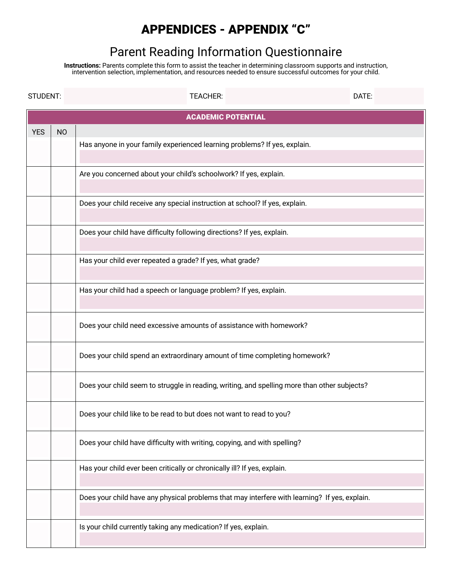# APPENDICES - APPENDIX "C"

# Parent Reading Information Questionnaire

**Instructions:** Parents complete this form to assist the teacher in determining classroom supports and instruction, intervention selection, implementation, and resources needed to ensure successful outcomes for your child.

| STUDENT:   |                           | <b>TEACHER:</b>                                                                               | DATE: |  |
|------------|---------------------------|-----------------------------------------------------------------------------------------------|-------|--|
|            | <b>ACADEMIC POTENTIAL</b> |                                                                                               |       |  |
| <b>YES</b> | <b>NO</b>                 |                                                                                               |       |  |
|            |                           | Has anyone in your family experienced learning problems? If yes, explain.                     |       |  |
|            |                           | Are you concerned about your child's schoolwork? If yes, explain.                             |       |  |
|            |                           | Does your child receive any special instruction at school? If yes, explain.                   |       |  |
|            |                           | Does your child have difficulty following directions? If yes, explain.                        |       |  |
|            |                           | Has your child ever repeated a grade? If yes, what grade?                                     |       |  |
|            |                           |                                                                                               |       |  |
|            |                           | Has your child had a speech or language problem? If yes, explain.                             |       |  |
|            |                           | Does your child need excessive amounts of assistance with homework?                           |       |  |
|            |                           | Does your child spend an extraordinary amount of time completing homework?                    |       |  |
|            |                           | Does your child seem to struggle in reading, writing, and spelling more than other subjects?  |       |  |
|            |                           | Does your child like to be read to but does not want to read to you?                          |       |  |
|            |                           | Does your child have difficulty with writing, copying, and with spelling?                     |       |  |
|            |                           | Has your child ever been critically or chronically ill? If yes, explain.                      |       |  |
|            |                           | Does your child have any physical problems that may interfere with learning? If yes, explain. |       |  |
|            |                           | Is your child currently taking any medication? If yes, explain.                               |       |  |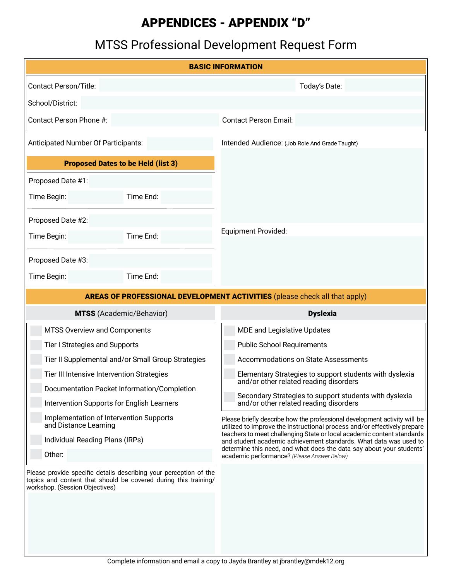# APPENDICES - APPENDIX "D"

# MTSS Professional Development Request Form

| <b>BASIC INFORMATION</b>                                                                  |                                                                                                                                      |                                                                                                                                                                                                                         |
|-------------------------------------------------------------------------------------------|--------------------------------------------------------------------------------------------------------------------------------------|-------------------------------------------------------------------------------------------------------------------------------------------------------------------------------------------------------------------------|
| <b>Contact Person/Title:</b>                                                              |                                                                                                                                      | Today's Date:                                                                                                                                                                                                           |
| School/District:                                                                          |                                                                                                                                      |                                                                                                                                                                                                                         |
| Contact Person Phone #:                                                                   |                                                                                                                                      | <b>Contact Person Email:</b>                                                                                                                                                                                            |
| Anticipated Number Of Participants:                                                       |                                                                                                                                      | Intended Audience: (Job Role And Grade Taught)                                                                                                                                                                          |
| <b>Proposed Dates to be Held (list 3)</b>                                                 |                                                                                                                                      |                                                                                                                                                                                                                         |
| Proposed Date #1:                                                                         |                                                                                                                                      |                                                                                                                                                                                                                         |
| Time Begin:                                                                               | Time End:                                                                                                                            |                                                                                                                                                                                                                         |
| Proposed Date #2:                                                                         |                                                                                                                                      |                                                                                                                                                                                                                         |
| Time Begin:                                                                               | Time End:                                                                                                                            | <b>Equipment Provided:</b>                                                                                                                                                                                              |
| Proposed Date #3:                                                                         |                                                                                                                                      |                                                                                                                                                                                                                         |
| Time Begin:                                                                               | Time End:                                                                                                                            |                                                                                                                                                                                                                         |
| <b>AREAS OF PROFESSIONAL DEVELOPMENT ACTIVITIES</b> (please check all that apply)         |                                                                                                                                      |                                                                                                                                                                                                                         |
| <b>MTSS</b> (Academic/Behavior)                                                           |                                                                                                                                      | <b>Dyslexia</b>                                                                                                                                                                                                         |
| MTSS Overview and Components                                                              |                                                                                                                                      | MDE and Legislative Updates                                                                                                                                                                                             |
| <b>Tier I Strategies and Supports</b>                                                     |                                                                                                                                      | <b>Public School Requirements</b>                                                                                                                                                                                       |
| Tier II Supplemental and/or Small Group Strategies                                        |                                                                                                                                      | <b>Accommodations on State Assessments</b>                                                                                                                                                                              |
| Tier III Intensive Intervention Strategies                                                |                                                                                                                                      | Elementary Strategies to support students with dyslexia<br>and/or other related reading disorders                                                                                                                       |
| Documentation Packet Information/Completion<br>Intervention Supports for English Learners |                                                                                                                                      | Secondary Strategies to support students with dyslexia<br>and/or other related reading disorders                                                                                                                        |
| Implementation of Intervention Supports                                                   |                                                                                                                                      | Please briefly describe how the professional development activity will be                                                                                                                                               |
| and Distance Learning<br>Individual Reading Plans (IRPs)                                  |                                                                                                                                      | utilized to improve the instructional process and/or effectively prepare<br>teachers to meet challenging State or local academic content standards<br>and student academic achievement standards. What data was used to |
| Other:                                                                                    |                                                                                                                                      | determine this need, and what does the data say about your students'<br>academic performance? (Please Answer Below)                                                                                                     |
| workshop. (Session Objectives)                                                            | Please provide specific details describing your perception of the<br>topics and content that should be covered during this training/ |                                                                                                                                                                                                                         |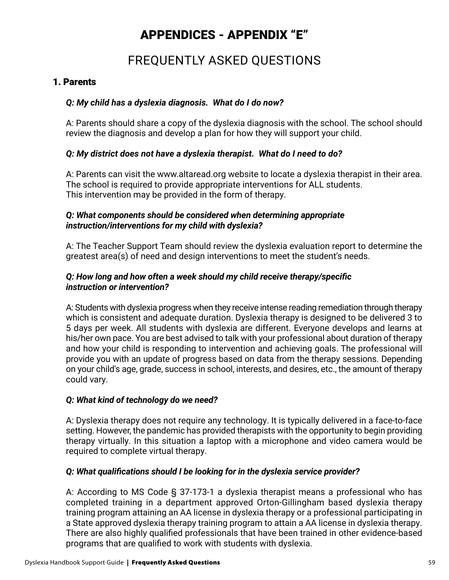# APPENDICES - APPENDIX "E"

# FREQUENTLY ASKED QUESTIONS

### 1. Parents

#### *Q: My child has a dyslexia diagnosis. What do I do now?*

A: Parents should share a copy of the dyslexia diagnosis with the school. The school should review the diagnosis and develop a plan for how they will support your child.

#### *Q: My district does not have a dyslexia therapist. What do I need to do?*

A: Parents can visit the www.altaread.org website to locate a dyslexia therapist in their area. The school is required to provide appropriate interventions for ALL students. This intervention may be provided in the form of therapy.

#### *Q: What components should be considered when determining appropriate instruction/interventions for my child with dyslexia?*

A: The Teacher Support Team should review the dyslexia evaluation report to determine the greatest area(s) of need and design interventions to meet the student's needs.

#### *Q: How long and how often a week should my child receive therapy/specific instruction or intervention?*

A: Students with dyslexia progress when they receive intense reading remediation through therapy which is consistent and adequate duration. Dyslexia therapy is designed to be delivered 3 to 5 days per week. All students with dyslexia are different. Everyone develops and learns at his/her own pace. You are best advised to talk with your professional about duration of therapy and how your child is responding to intervention and achieving goals. The professional will provide you with an update of progress based on data from the therapy sessions. Depending on your child's age, grade, success in school, interests, and desires, etc., the amount of therapy could vary.

#### *Q: What kind of technology do we need?*

A: Dyslexia therapy does not require any technology. It is typically delivered in a face-to-face setting. However, the pandemic has provided therapists with the opportunity to begin providing therapy virtually. In this situation a laptop with a microphone and video camera would be required to complete virtual therapy.

### *Q: What qualifications should I be looking for in the dyslexia service provider?*

A: According to MS Code § 37-173-1 a dyslexia therapist means a professional who has completed training in a department approved Orton-Gillingham based dyslexia therapy training program attaining an AA license in dyslexia therapy or a professional participating in a State approved dyslexia therapy training program to attain a AA license in dyslexia therapy. There are also highly qualified professionals that have been trained in other evidence-based programs that are qualified to work with students with dyslexia.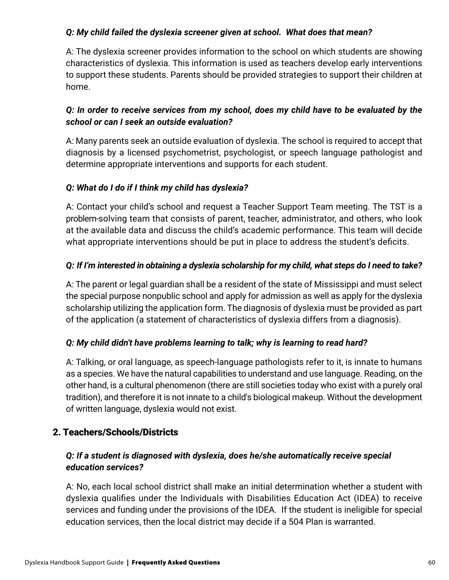## *Q: My child failed the dyslexia screener given at school. What does that mean?*

A: The dyslexia screener provides information to the school on which students are showing characteristics of dyslexia. This information is used as teachers develop early interventions to support these students. Parents should be provided strategies to support their children at home.

## *Q: In order to receive services from my school, does my child have to be evaluated by the school or can I seek an outside evaluation?*

A: Many parents seek an outside evaluation of dyslexia. The school is required to accept that diagnosis by a licensed psychometrist, psychologist, or speech language pathologist and determine appropriate interventions and supports for each student.

### *Q: What do I do if I think my child has dyslexia?*

A: Contact your child's school and request a Teacher Support Team meeting. The TST is a problem-solving team that consists of parent, teacher, administrator, and others, who look at the available data and discuss the child's academic performance. This team will decide what appropriate interventions should be put in place to address the student's deficits.

## *Q: If I'm interested in obtaining a dyslexia scholarship for my child, what steps do I need to take?*

A: The parent or legal guardian shall be a resident of the state of Mississippi and must select the special purpose nonpublic school and apply for admission as well as apply for the dyslexia scholarship utilizing the application form. The diagnosis of dyslexia must be provided as part of the application (a statement of characteristics of dyslexia differs from a diagnosis).

### *Q: My child didn't have problems learning to talk; why is learning to read hard?*

A: Talking, or oral language, as speech-language pathologists refer to it, is innate to humans as a species. We have the natural capabilities to understand and use language. Reading, on the other hand, is a cultural phenomenon (there are still societies today who exist with a purely oral tradition), and therefore it is not innate to a child's biological makeup. Without the development of written language, dyslexia would not exist.

# 2. Teachers/Schools/Districts

# *Q: If a student is diagnosed with dyslexia, does he/she automatically receive special education services?*

A: No, each local school district shall make an initial determination whether a student with dyslexia qualifies under the Individuals with Disabilities Education Act (IDEA) to receive services and funding under the provisions of the IDEA. If the student is ineligible for special education services, then the local district may decide if a 504 Plan is warranted.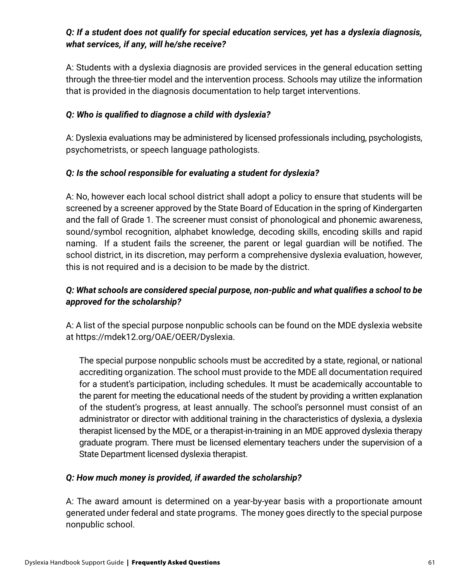## *Q: If a student does not qualify for special education services, yet has a dyslexia diagnosis, what services, if any, will he/she receive?*

A: Students with a dyslexia diagnosis are provided services in the general education setting through the three-tier model and the intervention process. Schools may utilize the information that is provided in the diagnosis documentation to help target interventions.

#### *Q: Who is qualified to diagnose a child with dyslexia?*

A: Dyslexia evaluations may be administered by licensed professionals including, psychologists, psychometrists, or speech language pathologists.

### *Q: Is the school responsible for evaluating a student for dyslexia?*

A: No, however each local school district shall adopt a policy to ensure that students will be screened by a screener approved by the State Board of Education in the spring of Kindergarten and the fall of Grade 1. The screener must consist of phonological and phonemic awareness, sound/symbol recognition, alphabet knowledge, decoding skills, encoding skills and rapid naming. If a student fails the screener, the parent or legal guardian will be notified. The school district, in its discretion, may perform a comprehensive dyslexia evaluation, however, this is not required and is a decision to be made by the district.

## *Q: What schools are considered special purpose, non-public and what qualifies a school to be approved for the scholarship?*

A: A list of the special purpose nonpublic schools can be found on the MDE dyslexia website at https://mdek12.org/OAE/OEER/Dyslexia.

The special purpose nonpublic schools must be accredited by a state, regional, or national accrediting organization. The school must provide to the MDE all documentation required for a student's participation, including schedules. It must be academically accountable to the parent for meeting the educational needs of the student by providing a written explanation of the student's progress, at least annually. The school's personnel must consist of an administrator or director with additional training in the characteristics of dyslexia, a dyslexia therapist licensed by the MDE, or a therapist-in-training in an MDE approved dyslexia therapy graduate program. There must be licensed elementary teachers under the supervision of a State Department licensed dyslexia therapist.

#### *Q: How much money is provided, if awarded the scholarship?*

A: The award amount is determined on a year-by-year basis with a proportionate amount generated under federal and state programs. The money goes directly to the special purpose nonpublic school.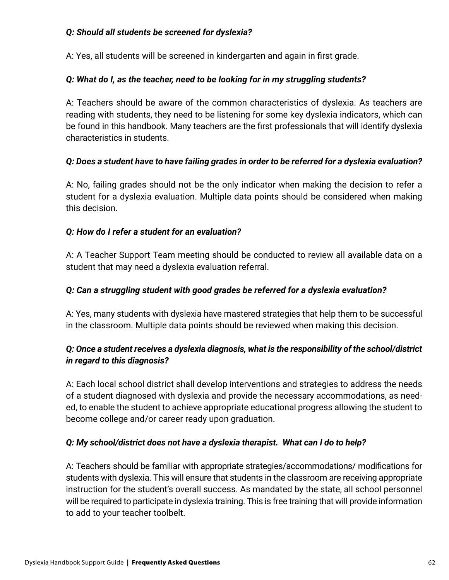### *Q: Should all students be screened for dyslexia?*

A: Yes, all students will be screened in kindergarten and again in first grade.

### *Q: What do I, as the teacher, need to be looking for in my struggling students?*

A: Teachers should be aware of the common characteristics of dyslexia. As teachers are reading with students, they need to be listening for some key dyslexia indicators, which can be found in this handbook. Many teachers are the first professionals that will identify dyslexia characteristics in students.

## *Q: Does a student have to have failing grades in order to be referred for a dyslexia evaluation?*

A: No, failing grades should not be the only indicator when making the decision to refer a student for a dyslexia evaluation. Multiple data points should be considered when making this decision.

### *Q: How do I refer a student for an evaluation?*

A: A Teacher Support Team meeting should be conducted to review all available data on a student that may need a dyslexia evaluation referral.

### *Q: Can a struggling student with good grades be referred for a dyslexia evaluation?*

A: Yes, many students with dyslexia have mastered strategies that help them to be successful in the classroom. Multiple data points should be reviewed when making this decision.

## *Q: Once a student receives a dyslexia diagnosis, what is the responsibility of the school/district in regard to this diagnosis?*

A: Each local school district shall develop interventions and strategies to address the needs of a student diagnosed with dyslexia and provide the necessary accommodations, as needed, to enable the student to achieve appropriate educational progress allowing the student to become college and/or career ready upon graduation.

### *Q: My school/district does not have a dyslexia therapist. What can I do to help?*

A: Teachers should be familiar with appropriate strategies/accommodations/ modifications for students with dyslexia. This will ensure that students in the classroom are receiving appropriate instruction for the student's overall success. As mandated by the state, all school personnel will be required to participate in dyslexia training. This is free training that will provide information to add to your teacher toolbelt.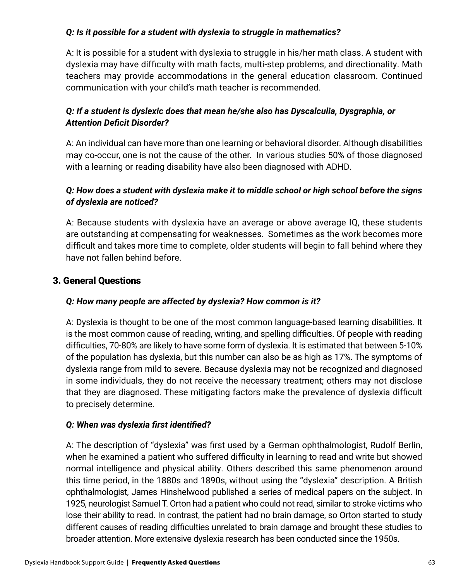# *Q: Is it possible for a student with dyslexia to struggle in mathematics?*

A: It is possible for a student with dyslexia to struggle in his/her math class. A student with dyslexia may have difficulty with math facts, multi-step problems, and directionality. Math teachers may provide accommodations in the general education classroom. Continued communication with your child's math teacher is recommended.

# *Q: If a student is dyslexic does that mean he/she also has Dyscalculia, Dysgraphia, or Attention Deficit Disorder?*

A: An individual can have more than one learning or behavioral disorder. Although disabilities may co-occur, one is not the cause of the other. In various studies 50% of those diagnosed with a learning or reading disability have also been diagnosed with ADHD.

# *Q: How does a student with dyslexia make it to middle school or high school before the signs of dyslexia are noticed?*

A: Because students with dyslexia have an average or above average IQ, these students are outstanding at compensating for weaknesses. Sometimes as the work becomes more difficult and takes more time to complete, older students will begin to fall behind where they have not fallen behind before.

# 3. General Questions

# *Q: How many people are affected by dyslexia? How common is it?*

A: Dyslexia is thought to be one of the most common language-based learning disabilities. It is the most common cause of reading, writing, and spelling difficulties. Of people with reading difficulties, 70-80% are likely to have some form of dyslexia. It is estimated that between 5-10% of the population has dyslexia, but this number can also be as high as 17%. The symptoms of dyslexia range from mild to severe. Because dyslexia may not be recognized and diagnosed in some individuals, they do not receive the necessary treatment; others may not disclose that they are diagnosed. These mitigating factors make the prevalence of dyslexia difficult to precisely determine.

# *Q: When was dyslexia first identified?*

A: The description of "dyslexia" was first used by a German ophthalmologist, Rudolf Berlin, when he examined a patient who suffered difficulty in learning to read and write but showed normal intelligence and physical ability. Others described this same phenomenon around this time period, in the 1880s and 1890s, without using the "dyslexia" description. A British ophthalmologist, James Hinshelwood published a series of medical papers on the subject. In 1925, neurologist Samuel T. Orton had a patient who could not read, similar to stroke victims who lose their ability to read. In contrast, the patient had no brain damage, so Orton started to study different causes of reading difficulties unrelated to brain damage and brought these studies to broader attention. More extensive dyslexia research has been conducted since the 1950s.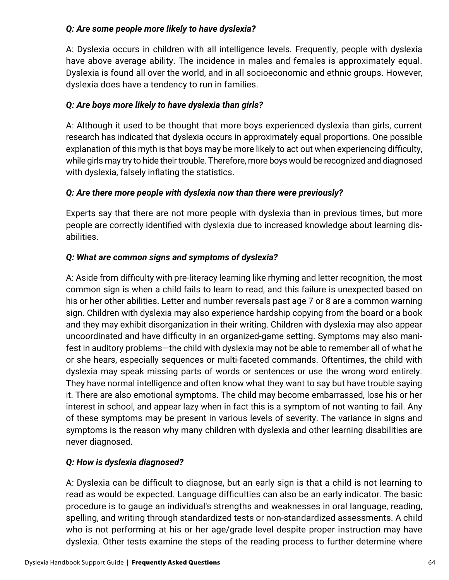## *Q: Are some people more likely to have dyslexia?*

A: Dyslexia occurs in children with all intelligence levels. Frequently, people with dyslexia have above average ability. The incidence in males and females is approximately equal. Dyslexia is found all over the world, and in all socioeconomic and ethnic groups. However, dyslexia does have a tendency to run in families.

# *Q: Are boys more likely to have dyslexia than girls?*

A: Although it used to be thought that more boys experienced dyslexia than girls, current research has indicated that dyslexia occurs in approximately equal proportions. One possible explanation of this myth is that boys may be more likely to act out when experiencing difficulty, while girls may try to hide their trouble. Therefore, more boys would be recognized and diagnosed with dyslexia, falsely inflating the statistics.

### *Q: Are there more people with dyslexia now than there were previously?*

Experts say that there are not more people with dyslexia than in previous times, but more people are correctly identified with dyslexia due to increased knowledge about learning disabilities.

## *Q: What are common signs and symptoms of dyslexia?*

A: Aside from difficulty with pre-literacy learning like rhyming and letter recognition, the most common sign is when a child fails to learn to read, and this failure is unexpected based on his or her other abilities. Letter and number reversals past age 7 or 8 are a common warning sign. Children with dyslexia may also experience hardship copying from the board or a book and they may exhibit disorganization in their writing. Children with dyslexia may also appear uncoordinated and have difficulty in an organized-game setting. Symptoms may also manifest in auditory problems—the child with dyslexia may not be able to remember all of what he or she hears, especially sequences or multi-faceted commands. Oftentimes, the child with dyslexia may speak missing parts of words or sentences or use the wrong word entirely. They have normal intelligence and often know what they want to say but have trouble saying it. There are also emotional symptoms. The child may become embarrassed, lose his or her interest in school, and appear lazy when in fact this is a symptom of not wanting to fail. Any of these symptoms may be present in various levels of severity. The variance in signs and symptoms is the reason why many children with dyslexia and other learning disabilities are never diagnosed.

### *Q: How is dyslexia diagnosed?*

A: Dyslexia can be difficult to diagnose, but an early sign is that a child is not learning to read as would be expected. Language difficulties can also be an early indicator. The basic procedure is to gauge an individual's strengths and weaknesses in oral language, reading, spelling, and writing through standardized tests or non-standardized assessments. A child who is not performing at his or her age/grade level despite proper instruction may have dyslexia. Other tests examine the steps of the reading process to further determine where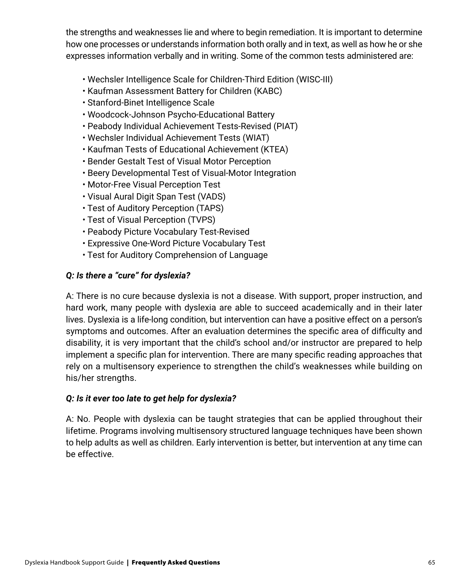the strengths and weaknesses lie and where to begin remediation. It is important to determine how one processes or understands information both orally and in text, as well as how he or she expresses information verbally and in writing. Some of the common tests administered are:

- Wechsler Intelligence Scale for Children-Third Edition (WISC-III)
- Kaufman Assessment Battery for Children (KABC)
- Stanford-Binet Intelligence Scale
- Woodcock-Johnson Psycho-Educational Battery
- Peabody Individual Achievement Tests-Revised (PIAT)
- Wechsler Individual Achievement Tests (WIAT)
- Kaufman Tests of Educational Achievement (KTEA)
- Bender Gestalt Test of Visual Motor Perception
- Beery Developmental Test of Visual-Motor Integration
- Motor-Free Visual Perception Test
- Visual Aural Digit Span Test (VADS)
- Test of Auditory Perception (TAPS)
- Test of Visual Perception (TVPS)
- Peabody Picture Vocabulary Test-Revised
- Expressive One-Word Picture Vocabulary Test
- Test for Auditory Comprehension of Language

### *Q: Is there a "cure" for dyslexia?*

A: There is no cure because dyslexia is not a disease. With support, proper instruction, and hard work, many people with dyslexia are able to succeed academically and in their later lives. Dyslexia is a life-long condition, but intervention can have a positive effect on a person's symptoms and outcomes. After an evaluation determines the specific area of difficulty and disability, it is very important that the child's school and/or instructor are prepared to help implement a specific plan for intervention. There are many specific reading approaches that rely on a multisensory experience to strengthen the child's weaknesses while building on his/her strengths.

### *Q: Is it ever too late to get help for dyslexia?*

A: No. People with dyslexia can be taught strategies that can be applied throughout their lifetime. Programs involving multisensory structured language techniques have been shown to help adults as well as children. Early intervention is better, but intervention at any time can be effective.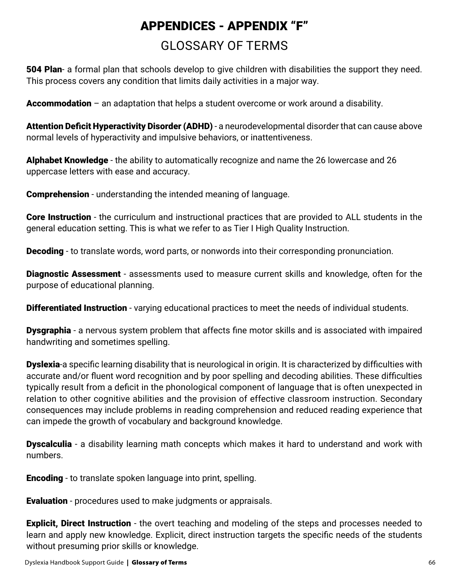# GLOSSARY OF TERMS APPENDICES - APPENDIX "F"

**504 Plan-** a formal plan that schools develop to give children with disabilities the support they need. This process covers any condition that limits daily activities in a major way.

Accommodation – an adaptation that helps a student overcome or work around a disability.

Attention Deficit Hyperactivity Disorder (ADHD) - a neurodevelopmental disorder that can cause above normal levels of hyperactivity and impulsive behaviors, or inattentiveness.

Alphabet Knowledge - the ability to automatically recognize and name the 26 lowercase and 26 uppercase letters with ease and accuracy.

**Comprehension** - understanding the intended meaning of language.

Core Instruction - the curriculum and instructional practices that are provided to ALL students in the general education setting. This is what we refer to as Tier I High Quality Instruction.

**Decoding** - to translate words, word parts, or nonwords into their corresponding pronunciation.

Diagnostic Assessment - assessments used to measure current skills and knowledge, often for the purpose of educational planning.

**Differentiated Instruction** - varying educational practices to meet the needs of individual students.

**Dysgraphia** - a nervous system problem that affects fine motor skills and is associated with impaired handwriting and sometimes spelling.

**Dyslexia-**a specific learning disability that is neurological in origin. It is characterized by difficulties with accurate and/or fluent word recognition and by poor spelling and decoding abilities. These difficulties typically result from a deficit in the phonological component of language that is often unexpected in relation to other cognitive abilities and the provision of effective classroom instruction. Secondary consequences may include problems in reading comprehension and reduced reading experience that can impede the growth of vocabulary and background knowledge.

**Dyscalculia** - a disability learning math concepts which makes it hard to understand and work with numbers.

**Encoding** - to translate spoken language into print, spelling.

**Evaluation** - procedures used to make judgments or appraisals.

**Explicit, Direct Instruction** - the overt teaching and modeling of the steps and processes needed to learn and apply new knowledge. Explicit, direct instruction targets the specific needs of the students without presuming prior skills or knowledge.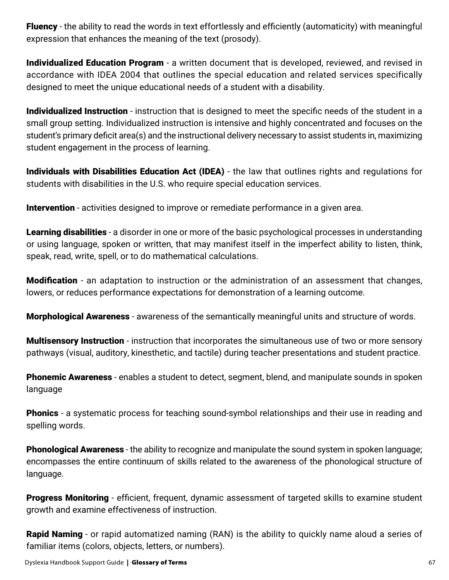Fluency - the ability to read the words in text effortlessly and efficiently (automaticity) with meaningful expression that enhances the meaning of the text (prosody).

**Individualized Education Program** - a written document that is developed, reviewed, and revised in accordance with IDEA 2004 that outlines the special education and related services specifically designed to meet the unique educational needs of a student with a disability.

Individualized Instruction - instruction that is designed to meet the specific needs of the student in a small group setting. Individualized instruction is intensive and highly concentrated and focuses on the student's primary deficit area(s) and the instructional delivery necessary to assist students in, maximizing student engagement in the process of learning.

Individuals with Disabilities Education Act (IDEA) - the law that outlines rights and regulations for students with disabilities in the U.S. who require special education services.

**Intervention** - activities designed to improve or remediate performance in a given area.

**Learning disabilities** - a disorder in one or more of the basic psychological processes in understanding or using language, spoken or written, that may manifest itself in the imperfect ability to listen, think, speak, read, write, spell, or to do mathematical calculations.

**Modification** - an adaptation to instruction or the administration of an assessment that changes, lowers, or reduces performance expectations for demonstration of a learning outcome.

Morphological Awareness - awareness of the semantically meaningful units and structure of words.

**Multisensory Instruction** - instruction that incorporates the simultaneous use of two or more sensory pathways (visual, auditory, kinesthetic, and tactile) during teacher presentations and student practice.

**Phonemic Awareness** - enables a student to detect, segment, blend, and manipulate sounds in spoken language

**Phonics** - a systematic process for teaching sound-symbol relationships and their use in reading and spelling words.

**Phonological Awareness** - the ability to recognize and manipulate the sound system in spoken language; encompasses the entire continuum of skills related to the awareness of the phonological structure of language.

Progress Monitoring - efficient, frequent, dynamic assessment of targeted skills to examine student growth and examine effectiveness of instruction.

**Rapid Naming** - or rapid automatized naming (RAN) is the ability to quickly name aloud a series of familiar items (colors, objects, letters, or numbers).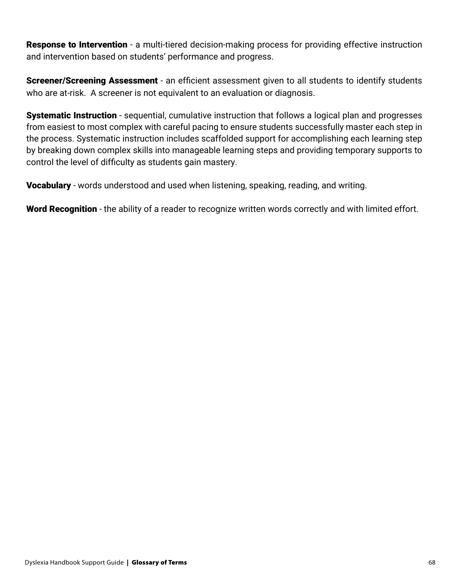**Response to Intervention** - a multi-tiered decision-making process for providing effective instruction and intervention based on students' performance and progress.

Screener/Screening Assessment - an efficient assessment given to all students to identify students who are at-risk. A screener is not equivalent to an evaluation or diagnosis.

**Systematic Instruction** - sequential, cumulative instruction that follows a logical plan and progresses from easiest to most complex with careful pacing to ensure students successfully master each step in the process. Systematic instruction includes scaffolded support for accomplishing each learning step by breaking down complex skills into manageable learning steps and providing temporary supports to control the level of difficulty as students gain mastery.

**Vocabulary** - words understood and used when listening, speaking, reading, and writing.

Word Recognition - the ability of a reader to recognize written words correctly and with limited effort.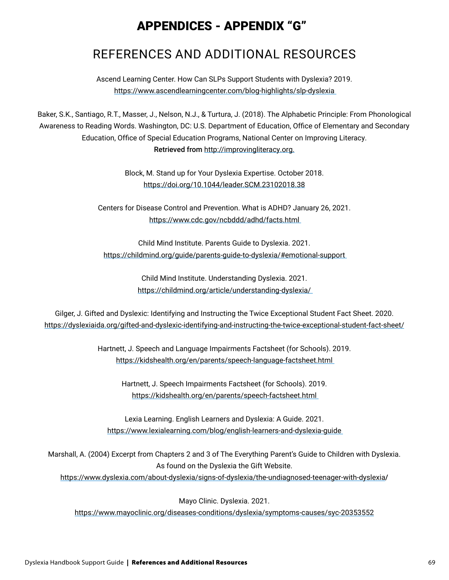# APPENDICES - APPENDIX "G"

# REFERENCES AND ADDITIONAL RESOURCES

Ascend Learning Center. How Can SLPs Support Students with Dyslexia? 2019. [https://www.ascendlearningcenter.com/blog-highlights/slp-dyslexia](https://www.ascendlearningcenter.com/blog-highlights/slp-dyslexia ) 

Baker, S.K., Santiago, R.T., Masser, J., Nelson, N.J., & Turtura, J. (2018). The Alphabetic Principle: From Phonological Awareness to Reading Words. Washington, DC: U.S. Department of Education, Office of Elementary and Secondary Education, Office of Special Education Programs, National Center on Improving Literacy. Retrieved from <http://improvingliteracy.org.>

> Block, M. Stand up for Your Dyslexia Expertise. October 2018. <https://doi.org/10.1044/leader.SCM.23102018.38>

Centers for Disease Control and Prevention. What is ADHD? January 26, 2021. [https://www.cdc.gov/ncbddd/adhd/facts.html](https://www.cdc.gov/ncbddd/adhd/facts.html ) 

Child Mind Institute. Parents Guide to Dyslexia. 2021. [https://childmind.org/guide/parents-guide-to-dyslexia/#emotional-support](https://childmind.org/guide/parents-guide-to-dyslexia/#emotional-support ) 

> Child Mind Institute. Understanding Dyslexia. 2021. [https://childmind.org/article/understanding-dyslexia/](https://childmind.org/article/understanding-dyslexia/ )

Gilger, J. Gifted and Dyslexic: Identifying and Instructing the Twice Exceptional Student Fact Sheet. 2020. [https://dyslexiaida.org/gifted-and-dyslexic-identifying-and-instructing-the-twice-exceptional-student-fact-sheet/](https://dyslexiaida.org/gifted-and-dyslexic-identifying-and-instructing-the-twice-exceptional-studen)

> Hartnett, J. Speech and Language Impairments Factsheet (for Schools). 2019. [https://kidshealth.org/en/parents/speech-language-factsheet.html](https://kidshealth.org/en/parents/speech-language-factsheet.html )

Hartnett, J. Speech Impairments Factsheet (for Schools). 2019. [https://kidshealth.org/en/parents/speech-factsheet.html](https://kidshealth.org/en/parents/speech-factsheet.html ) 

Lexia Learning. English Learners and Dyslexia: A Guide. 2021. [https://www.lexialearning.com/blog/english-learners-and-dyslexia-guide](https://www.lexialearning.com/blog/english-learners-and-dyslexia-guide ) 

Marshall, A. (2004) Excerpt from Chapters 2 and 3 of The Everything Parent's Guide to Children with Dyslexia. As found on the Dyslexia the Gift Website.

<https://www.dyslexia.com/about-dyslexia/signs-of-dyslexia/the-undiagnosed-teenager-with-dyslexia>/

Mayo Clinic. Dyslexia. 2021.

<https://www.mayoclinic.org/diseases-conditions/dyslexia/symptoms-causes/syc-20353552>